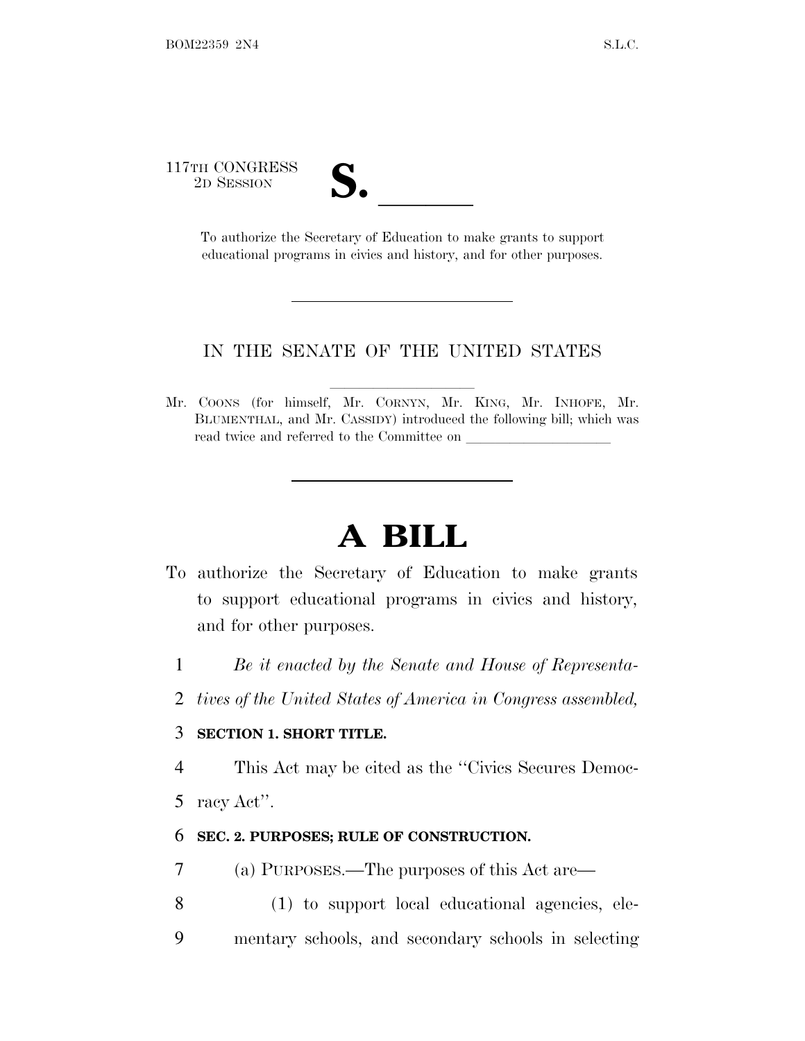117TH CONGRESS

TH CONGRESS<br>
2D SESSION<br>
To authorize the Secretary of Education to make grants to support educational programs in civics and history, and for other purposes.

#### IN THE SENATE OF THE UNITED STATES

Mr. COONS (for himself, Mr. CORNYN, Mr. KING, Mr. INHOFE, Mr. BLUMENTHAL, and Mr. CASSIDY) introduced the following bill; which was read twice and referred to the Committee on

# **A BILL**

- To authorize the Secretary of Education to make grants to support educational programs in civics and history, and for other purposes.
	- 1 *Be it enacted by the Senate and House of Representa-*
	- 2 *tives of the United States of America in Congress assembled,*

#### 3 **SECTION 1. SHORT TITLE.**

4 This Act may be cited as the ''Civics Secures Democ-

5 racy Act''.

#### 6 **SEC. 2. PURPOSES; RULE OF CONSTRUCTION.**

- 7 (a) PURPOSES.—The purposes of this Act are—
- 8 (1) to support local educational agencies, ele-9 mentary schools, and secondary schools in selecting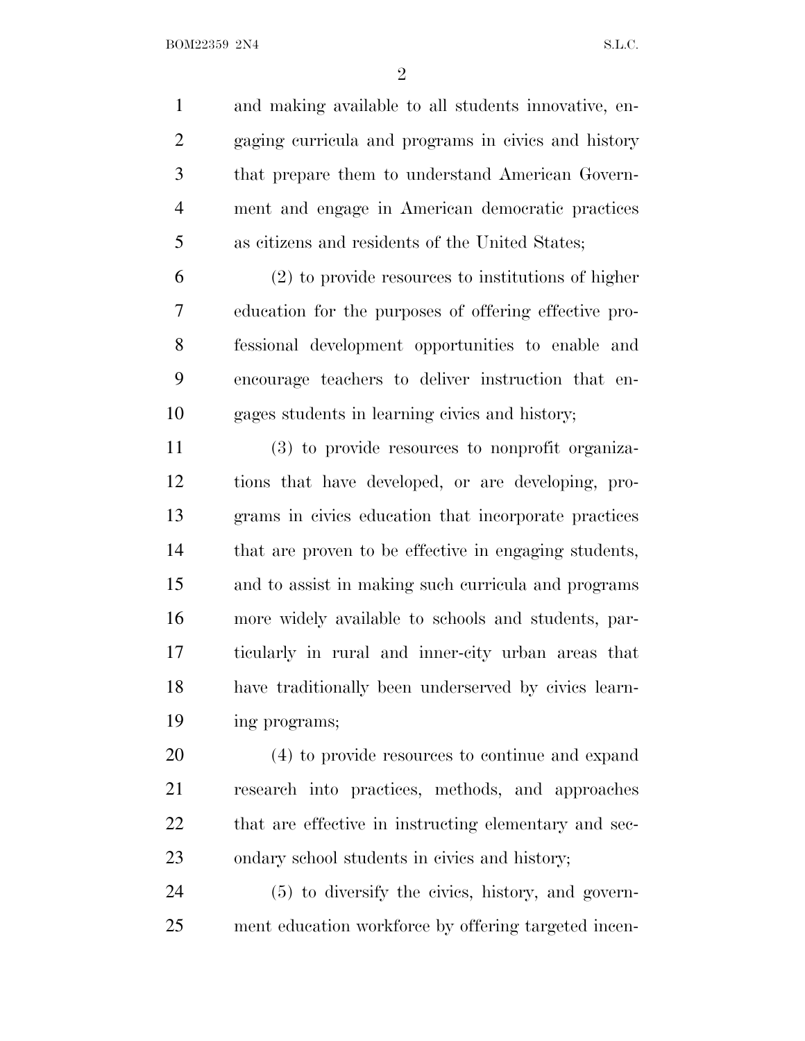and making available to all students innovative, en- gaging curricula and programs in civics and history that prepare them to understand American Govern- ment and engage in American democratic practices as citizens and residents of the United States;

 (2) to provide resources to institutions of higher education for the purposes of offering effective pro- fessional development opportunities to enable and encourage teachers to deliver instruction that en-gages students in learning civics and history;

 (3) to provide resources to nonprofit organiza- tions that have developed, or are developing, pro- grams in civics education that incorporate practices that are proven to be effective in engaging students, and to assist in making such curricula and programs more widely available to schools and students, par- ticularly in rural and inner-city urban areas that have traditionally been underserved by civics learn-ing programs;

 (4) to provide resources to continue and expand research into practices, methods, and approaches that are effective in instructing elementary and sec-ondary school students in civics and history;

 (5) to diversify the civics, history, and govern-ment education workforce by offering targeted incen-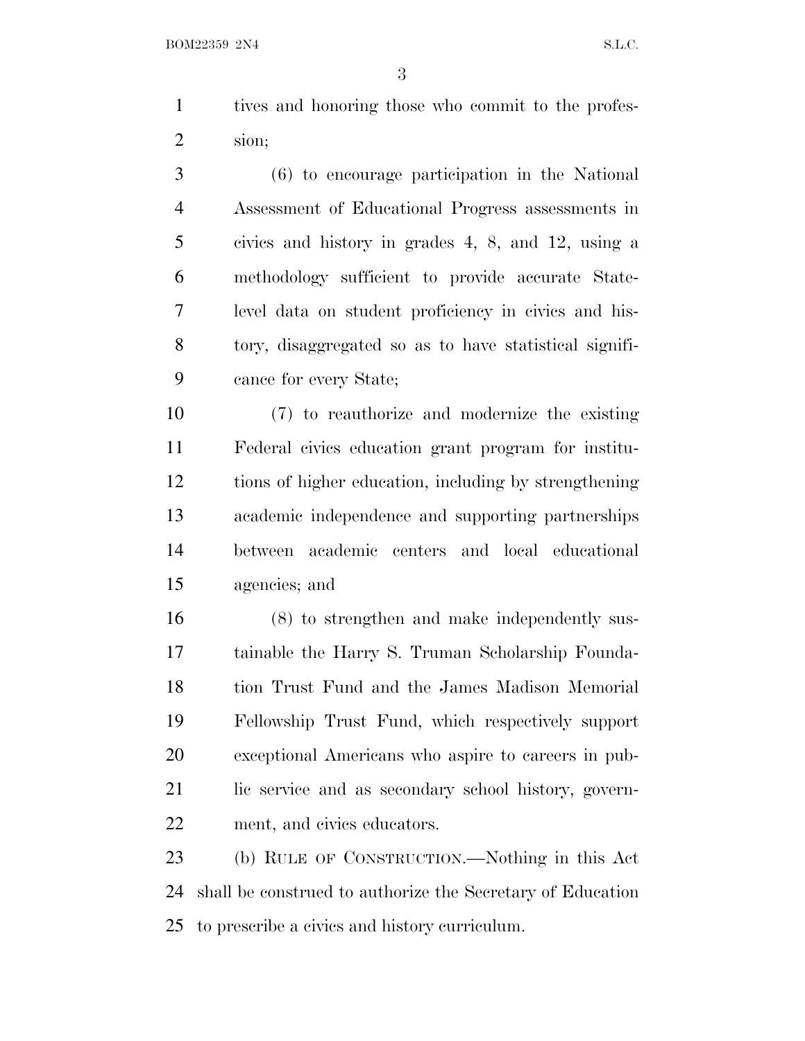tives and honoring those who commit to the profes-sion;

 (6) to encourage participation in the National Assessment of Educational Progress assessments in civics and history in grades 4, 8, and 12, using a methodology sufficient to provide accurate State- level data on student proficiency in civics and his- tory, disaggregated so as to have statistical signifi-cance for every State;

 (7) to reauthorize and modernize the existing Federal civics education grant program for institu- tions of higher education, including by strengthening academic independence and supporting partnerships between academic centers and local educational agencies; and

 (8) to strengthen and make independently sus- tainable the Harry S. Truman Scholarship Founda- tion Trust Fund and the James Madison Memorial Fellowship Trust Fund, which respectively support exceptional Americans who aspire to careers in pub- lic service and as secondary school history, govern-ment, and civics educators.

 (b) RULE OF CONSTRUCTION.—Nothing in this Act shall be construed to authorize the Secretary of Education to prescribe a civics and history curriculum.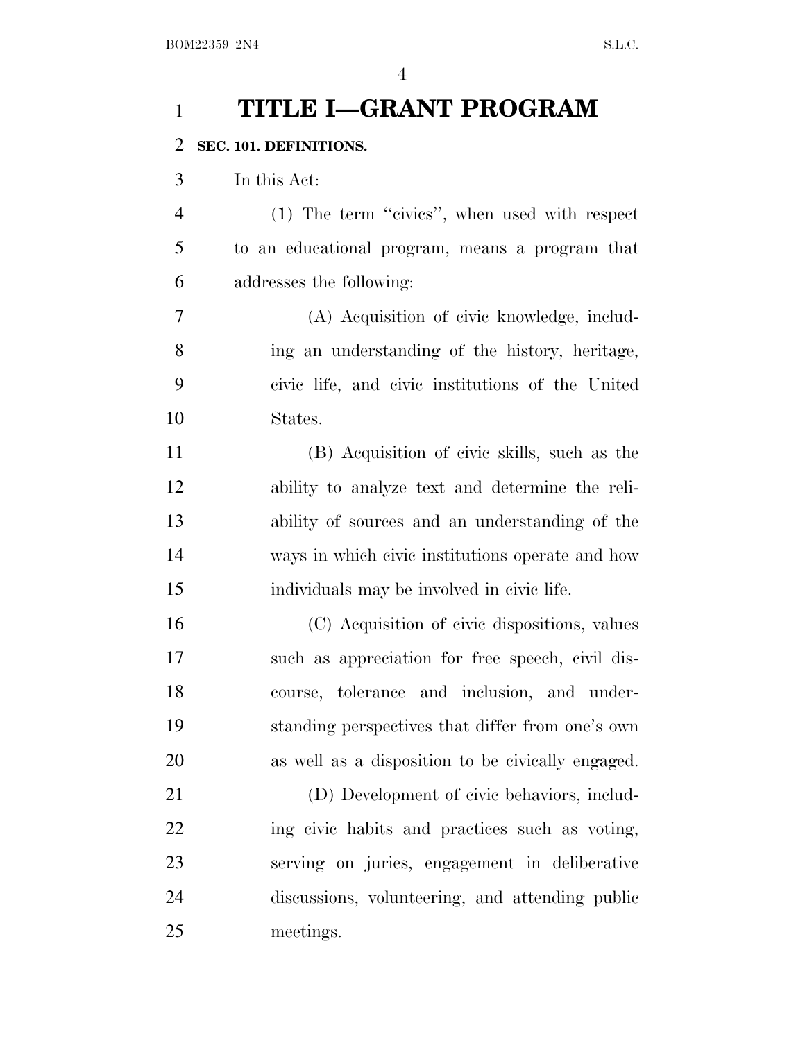### **TITLE I—GRANT PROGRAM**

#### **SEC. 101. DEFINITIONS.**

In this Act:

 (1) The term ''civics'', when used with respect to an educational program, means a program that addresses the following:

 (A) Acquisition of civic knowledge, includ- ing an understanding of the history, heritage, civic life, and civic institutions of the United States.

 (B) Acquisition of civic skills, such as the ability to analyze text and determine the reli- ability of sources and an understanding of the ways in which civic institutions operate and how individuals may be involved in civic life.

 (C) Acquisition of civic dispositions, values such as appreciation for free speech, civil dis- course, tolerance and inclusion, and under- standing perspectives that differ from one's own as well as a disposition to be civically engaged.

 (D) Development of civic behaviors, includ- ing civic habits and practices such as voting, serving on juries, engagement in deliberative discussions, volunteering, and attending public meetings.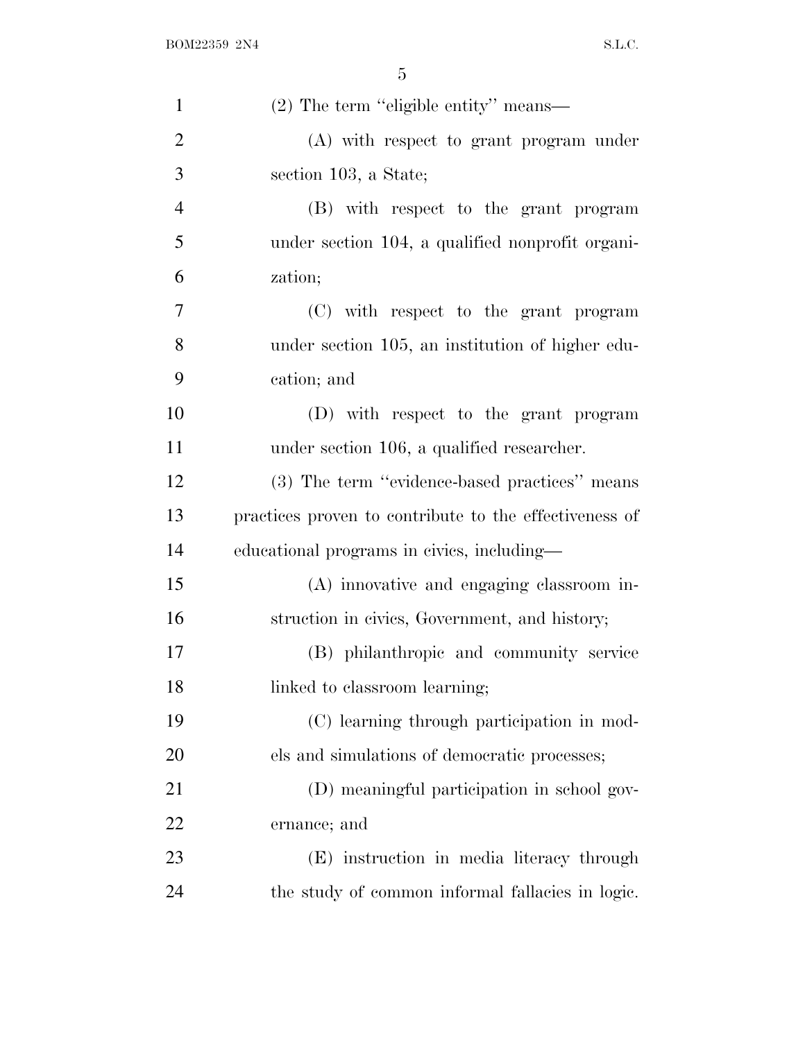| $\mathbf{1}$   | (2) The term "eligible entity" means—                  |
|----------------|--------------------------------------------------------|
| $\overline{2}$ | (A) with respect to grant program under                |
| 3              | section 103, a State;                                  |
| $\overline{4}$ | (B) with respect to the grant program                  |
| 5              | under section 104, a qualified nonprofit organi-       |
| 6              | zation;                                                |
| 7              | (C) with respect to the grant program                  |
| 8              | under section 105, an institution of higher edu-       |
| 9              | cation; and                                            |
| 10             | (D) with respect to the grant program                  |
| 11             | under section 106, a qualified researcher.             |
| 12             | (3) The term "evidence-based practices" means          |
| 13             | practices proven to contribute to the effectiveness of |
| 14             | educational programs in civics, including—             |
| 15             | (A) innovative and engaging classroom in-              |
| 16             | struction in civics, Government, and history;          |
| 17             | (B) philanthropic and community service                |
| 18             | linked to classroom learning;                          |
| 19             | (C) learning through participation in mod-             |
| 20             | els and simulations of democratic processes;           |
| 21             | (D) meaningful participation in school gov-            |
| 22             | ernance; and                                           |
| 23             | (E) instruction in media literacy through              |
| 24             | the study of common informal fallacies in logic.       |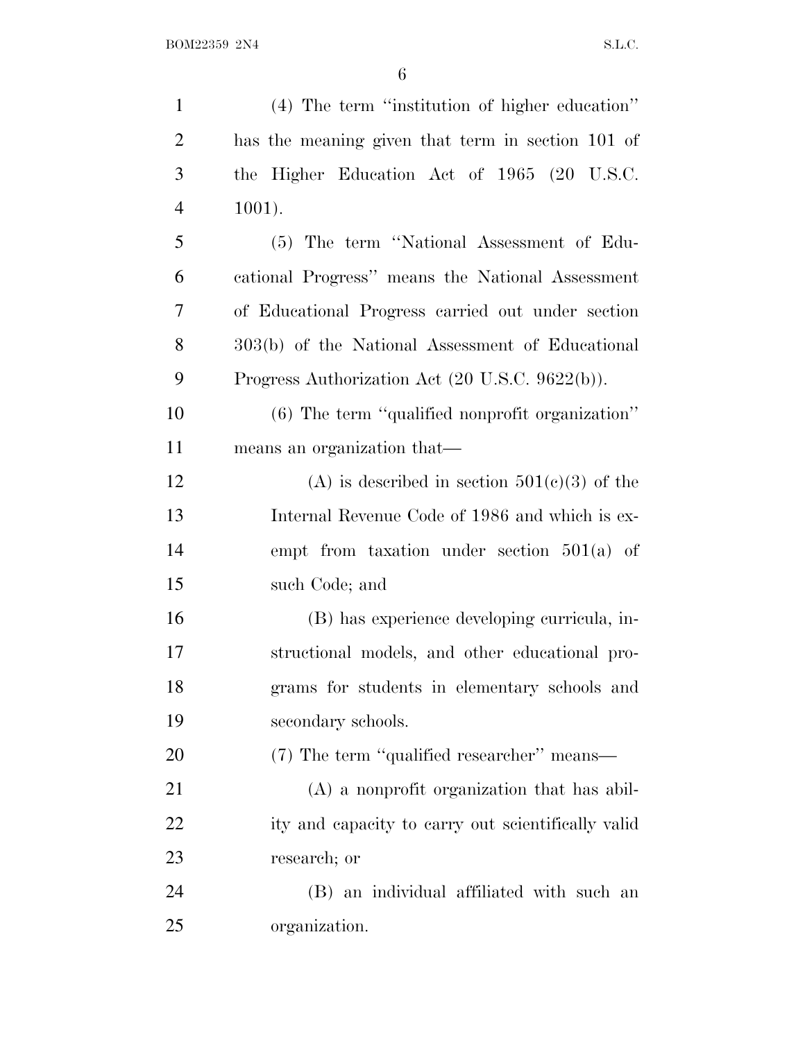| $\mathbf{1}$   | (4) The term "institution of higher education"     |
|----------------|----------------------------------------------------|
| $\overline{2}$ | has the meaning given that term in section 101 of  |
| 3              | the Higher Education Act of 1965 (20 U.S.C.        |
| $\overline{4}$ | $1001$ ).                                          |
| 5              | (5) The term "National Assessment of Edu-          |
| 6              | cational Progress" means the National Assessment   |
| 7              | of Educational Progress carried out under section  |
| 8              | 303(b) of the National Assessment of Educational   |
| 9              | Progress Authorization Act (20 U.S.C. 9622(b)).    |
| 10             | $(6)$ The term "qualified nonprofit organization"  |
| 11             | means an organization that—                        |
| 12             | (A) is described in section $501(c)(3)$ of the     |
| 13             | Internal Revenue Code of 1986 and which is ex-     |
| 14             | empt from taxation under section $501(a)$ of       |
| 15             | such Code; and                                     |
| 16             | (B) has experience developing curricula, in-       |
| 17             | structional models, and other educational pro-     |
| 18             | grams for students in elementary schools and       |
| 19             | secondary schools.                                 |
| 20             | (7) The term "qualified researcher" means—         |
| 21             | (A) a nonprofit organization that has abil-        |
| 22             | ity and capacity to carry out scientifically valid |
| 23             | research; or                                       |
| 24             | (B) an individual affiliated with such an          |
| 25             | organization.                                      |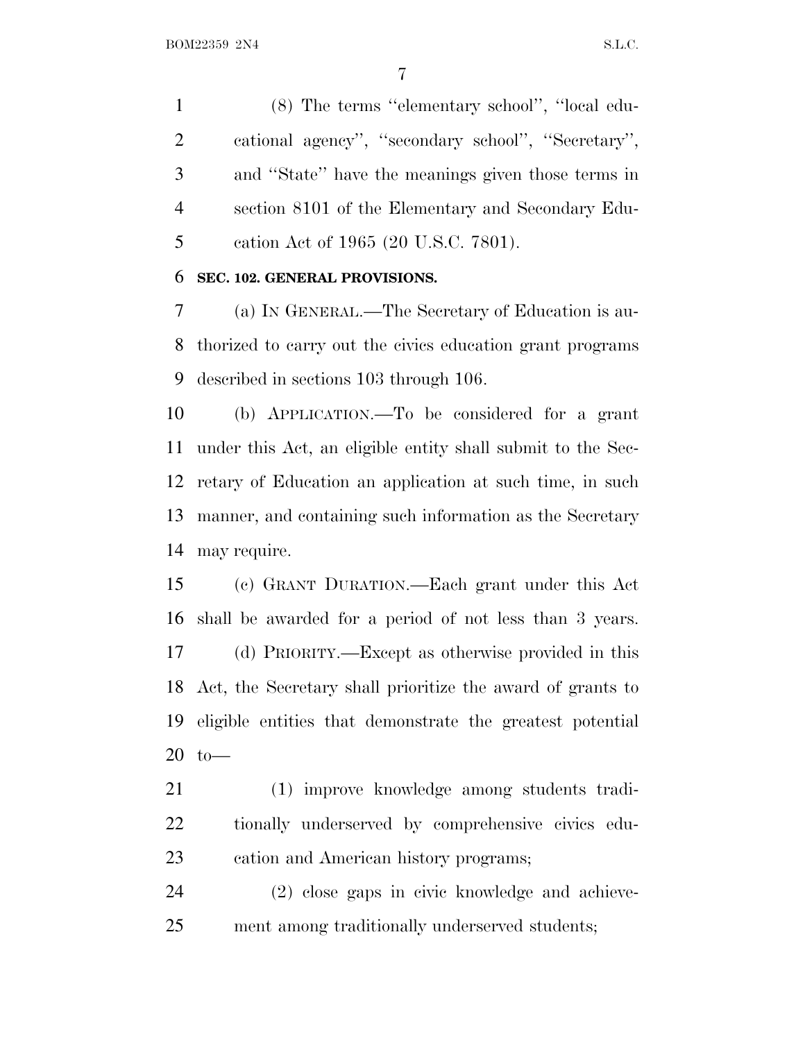(8) The terms ''elementary school'', ''local edu- cational agency'', ''secondary school'', ''Secretary'', and ''State'' have the meanings given those terms in section 8101 of the Elementary and Secondary Edu-cation Act of 1965 (20 U.S.C. 7801).

#### **SEC. 102. GENERAL PROVISIONS.**

 (a) I<sup>N</sup> GENERAL.—The Secretary of Education is au- thorized to carry out the civics education grant programs described in sections 103 through 106.

 (b) APPLICATION.—To be considered for a grant under this Act, an eligible entity shall submit to the Sec- retary of Education an application at such time, in such manner, and containing such information as the Secretary may require.

 (c) GRANT DURATION.—Each grant under this Act shall be awarded for a period of not less than 3 years. (d) PRIORITY.—Except as otherwise provided in this Act, the Secretary shall prioritize the award of grants to eligible entities that demonstrate the greatest potential to—

 (1) improve knowledge among students tradi- tionally underserved by comprehensive civics edu-cation and American history programs;

 (2) close gaps in civic knowledge and achieve-ment among traditionally underserved students;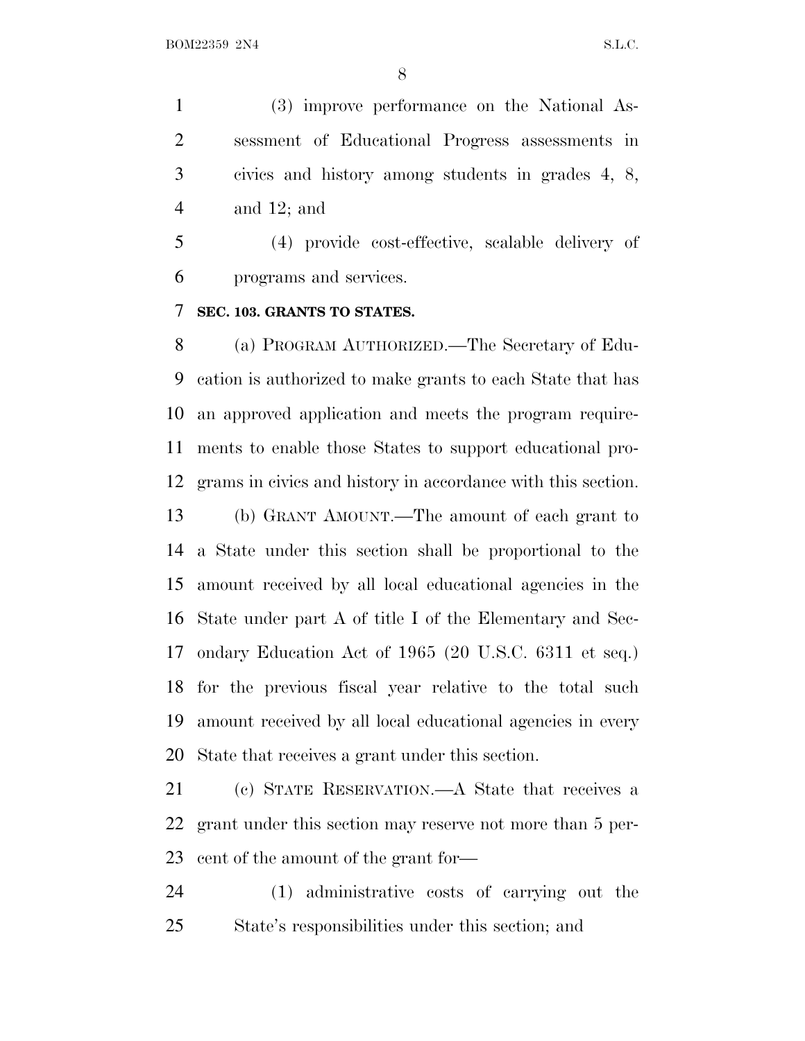(3) improve performance on the National As- sessment of Educational Progress assessments in civics and history among students in grades 4, 8, and 12; and

 (4) provide cost-effective, scalable delivery of programs and services.

#### **SEC. 103. GRANTS TO STATES.**

 (a) PROGRAM AUTHORIZED.—The Secretary of Edu- cation is authorized to make grants to each State that has an approved application and meets the program require- ments to enable those States to support educational pro-grams in civics and history in accordance with this section.

 (b) GRANT AMOUNT.—The amount of each grant to a State under this section shall be proportional to the amount received by all local educational agencies in the State under part A of title I of the Elementary and Sec- ondary Education Act of 1965 (20 U.S.C. 6311 et seq.) for the previous fiscal year relative to the total such amount received by all local educational agencies in every State that receives a grant under this section.

 (c) STATE RESERVATION.—A State that receives a grant under this section may reserve not more than 5 per-cent of the amount of the grant for—

 (1) administrative costs of carrying out the State's responsibilities under this section; and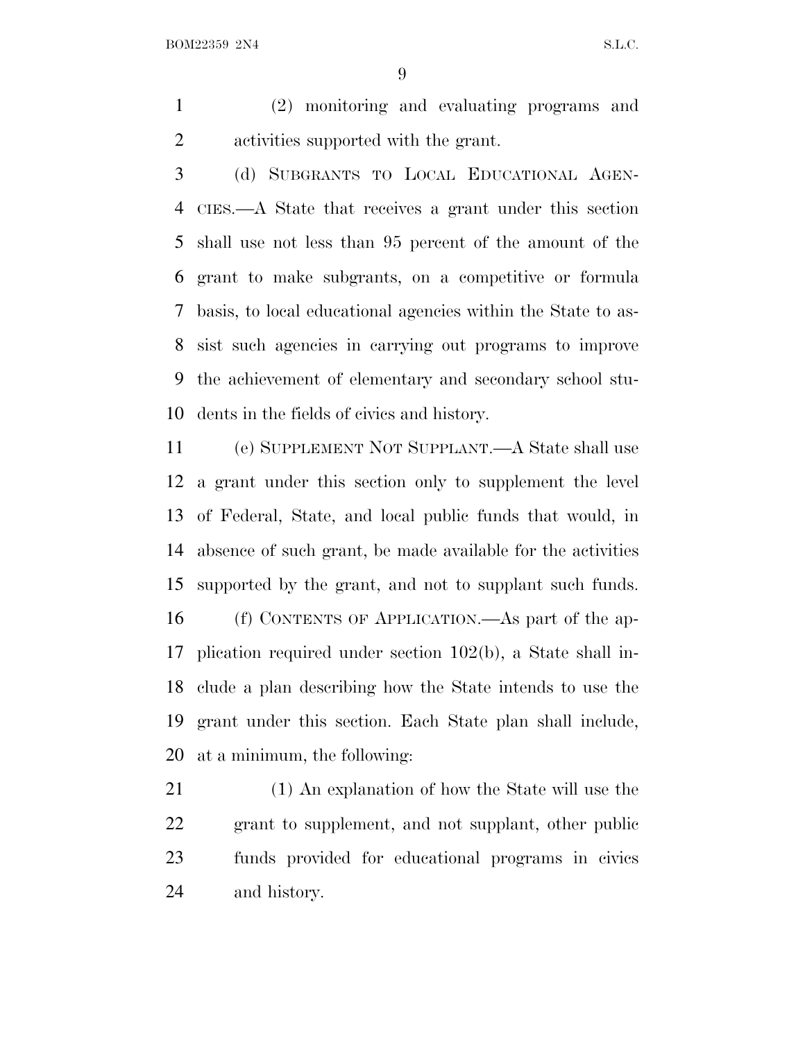(2) monitoring and evaluating programs and activities supported with the grant.

 (d) SUBGRANTS TO LOCAL EDUCATIONAL AGEN- CIES.—A State that receives a grant under this section shall use not less than 95 percent of the amount of the grant to make subgrants, on a competitive or formula basis, to local educational agencies within the State to as- sist such agencies in carrying out programs to improve the achievement of elementary and secondary school stu-dents in the fields of civics and history.

 (e) SUPPLEMENT NOT SUPPLANT.—A State shall use a grant under this section only to supplement the level of Federal, State, and local public funds that would, in absence of such grant, be made available for the activities supported by the grant, and not to supplant such funds. (f) CONTENTS OF APPLICATION.—As part of the ap- plication required under section 102(b), a State shall in- clude a plan describing how the State intends to use the grant under this section. Each State plan shall include, at a minimum, the following:

 (1) An explanation of how the State will use the grant to supplement, and not supplant, other public funds provided for educational programs in civics and history.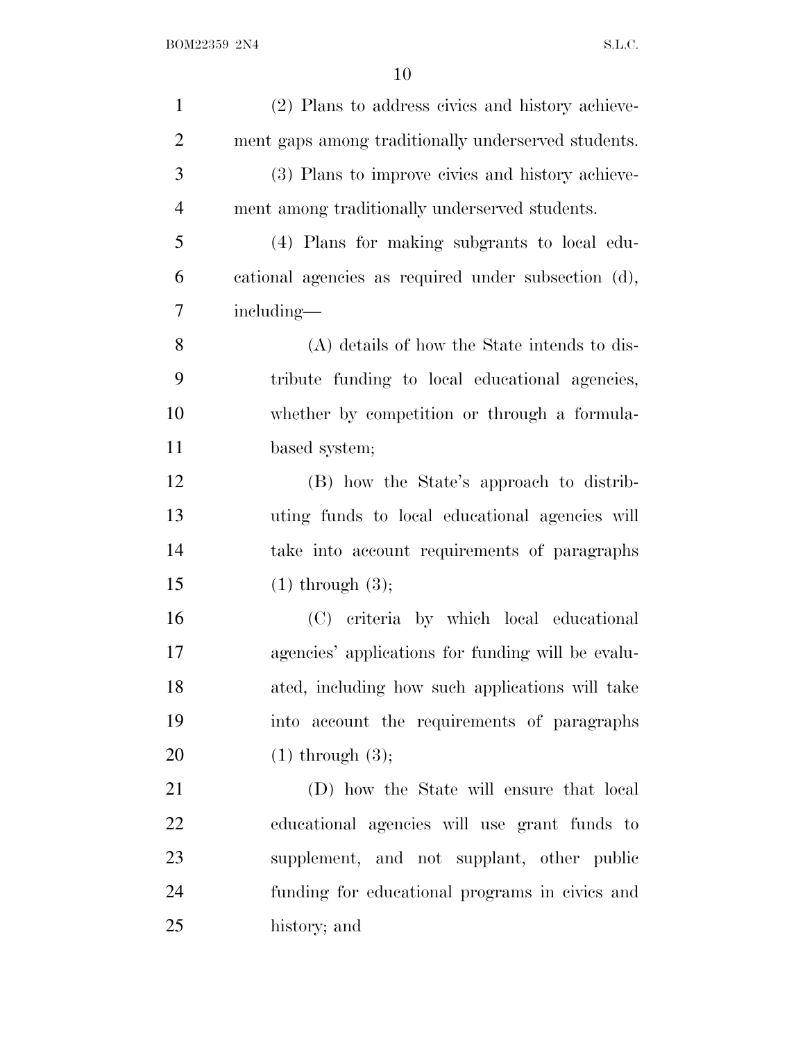| $\mathbf{1}$   | (2) Plans to address civics and history achieve-    |
|----------------|-----------------------------------------------------|
| $\overline{2}$ | ment gaps among traditionally underserved students. |
| 3              | (3) Plans to improve civics and history achieve-    |
| $\overline{4}$ | ment among traditionally underserved students.      |
| 5              | (4) Plans for making subgrants to local edu-        |
| 6              | cational agencies as required under subsection (d), |
| 7              | including—                                          |
| 8              | (A) details of how the State intends to dis-        |
| 9              | tribute funding to local educational agencies,      |
| 10             | whether by competition or through a formula-        |
| 11             | based system;                                       |
| 12             | (B) how the State's approach to distrib-            |
| 13             | uting funds to local educational agencies will      |
| 14             | take into account requirements of paragraphs        |
| 15             | $(1)$ through $(3)$ ;                               |
| 16             | (C) criteria by which local educational             |
| 17             | agencies' applications for funding will be evalu-   |
| 18             | ated, including how such applications will take     |
| 19             | into account the requirements of paragraphs         |
| 20             | $(1)$ through $(3)$ ;                               |
| 21             | (D) how the State will ensure that local            |
| 22             | educational agencies will use grant funds to        |
| 23             | supplement, and not supplant, other public          |
| 24             | funding for educational programs in civics and      |
| 25             | history; and                                        |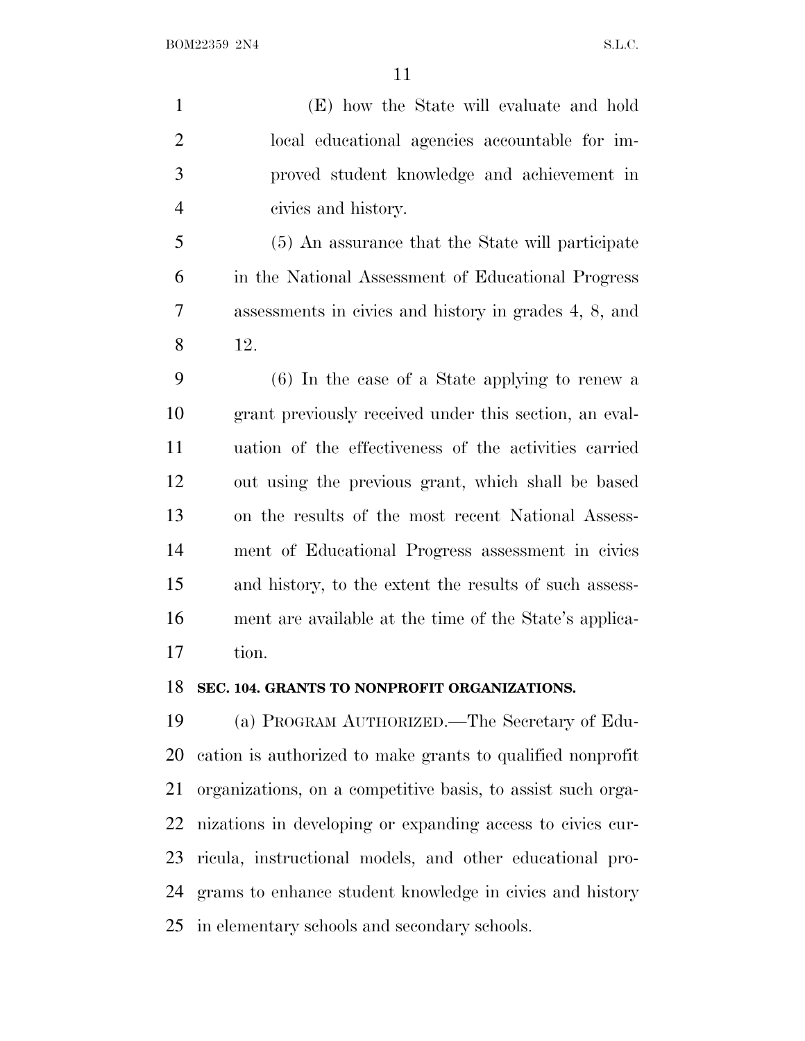(E) how the State will evaluate and hold local educational agencies accountable for im- proved student knowledge and achievement in civics and history.

 (5) An assurance that the State will participate in the National Assessment of Educational Progress assessments in civics and history in grades 4, 8, and 12.

 (6) In the case of a State applying to renew a grant previously received under this section, an eval- uation of the effectiveness of the activities carried out using the previous grant, which shall be based on the results of the most recent National Assess- ment of Educational Progress assessment in civics and history, to the extent the results of such assess- ment are available at the time of the State's applica-tion.

#### **SEC. 104. GRANTS TO NONPROFIT ORGANIZATIONS.**

 (a) PROGRAM AUTHORIZED.—The Secretary of Edu- cation is authorized to make grants to qualified nonprofit organizations, on a competitive basis, to assist such orga- nizations in developing or expanding access to civics cur- ricula, instructional models, and other educational pro- grams to enhance student knowledge in civics and history in elementary schools and secondary schools.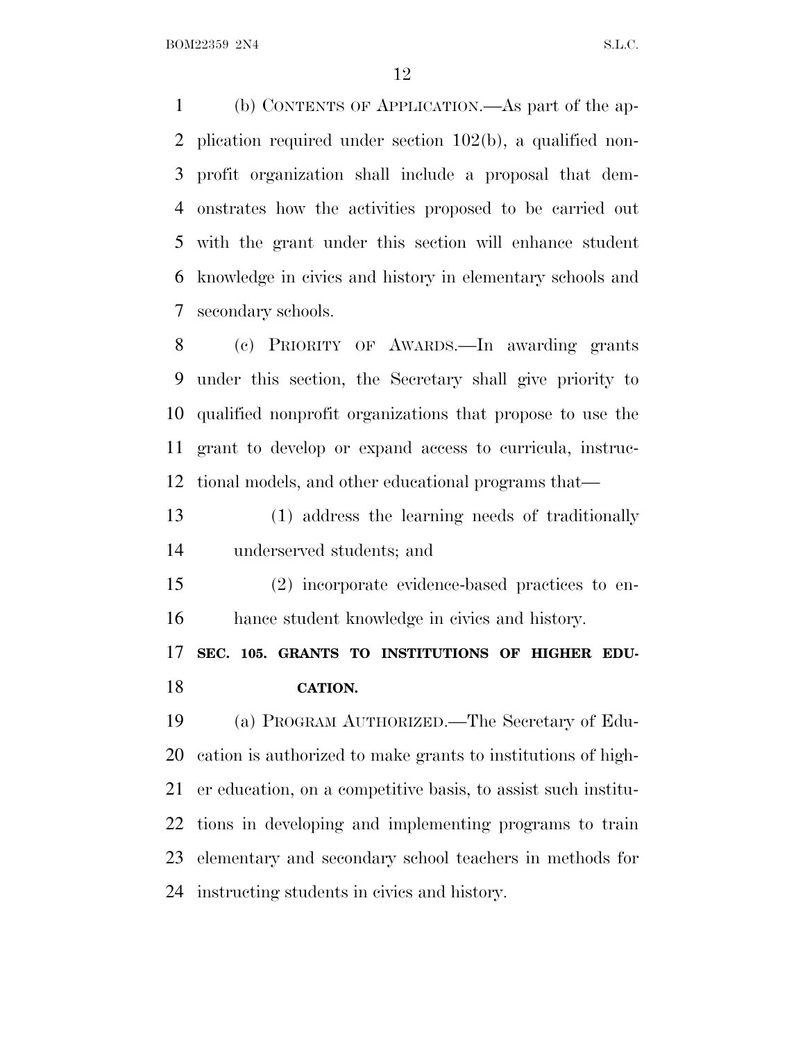(b) CONTENTS OF APPLICATION.—As part of the ap- plication required under section 102(b), a qualified non- profit organization shall include a proposal that dem- onstrates how the activities proposed to be carried out with the grant under this section will enhance student knowledge in civics and history in elementary schools and secondary schools.

 (c) PRIORITY OF AWARDS.—In awarding grants under this section, the Secretary shall give priority to qualified nonprofit organizations that propose to use the grant to develop or expand access to curricula, instruc-tional models, and other educational programs that—

 (1) address the learning needs of traditionally underserved students; and

 (2) incorporate evidence-based practices to en-hance student knowledge in civics and history.

 **SEC. 105. GRANTS TO INSTITUTIONS OF HIGHER EDU-CATION.**

 (a) PROGRAM AUTHORIZED.—The Secretary of Edu- cation is authorized to make grants to institutions of high- er education, on a competitive basis, to assist such institu- tions in developing and implementing programs to train elementary and secondary school teachers in methods for instructing students in civics and history.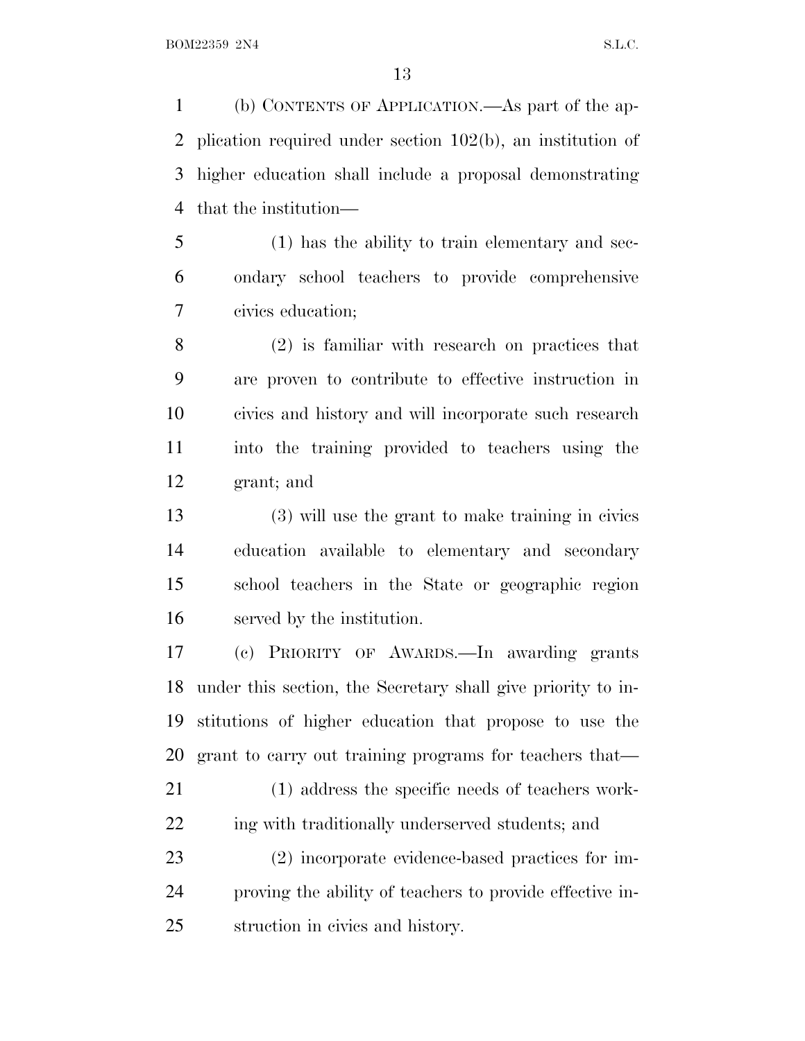(b) CONTENTS OF APPLICATION.—As part of the ap- plication required under section 102(b), an institution of higher education shall include a proposal demonstrating that the institution—

 (1) has the ability to train elementary and sec- ondary school teachers to provide comprehensive civics education;

 (2) is familiar with research on practices that are proven to contribute to effective instruction in civics and history and will incorporate such research into the training provided to teachers using the grant; and

 (3) will use the grant to make training in civics education available to elementary and secondary school teachers in the State or geographic region served by the institution.

 (c) PRIORITY OF AWARDS.—In awarding grants under this section, the Secretary shall give priority to in- stitutions of higher education that propose to use the grant to carry out training programs for teachers that—

 (1) address the specific needs of teachers work-22 ing with traditionally underserved students; and

 (2) incorporate evidence-based practices for im- proving the ability of teachers to provide effective in-struction in civics and history.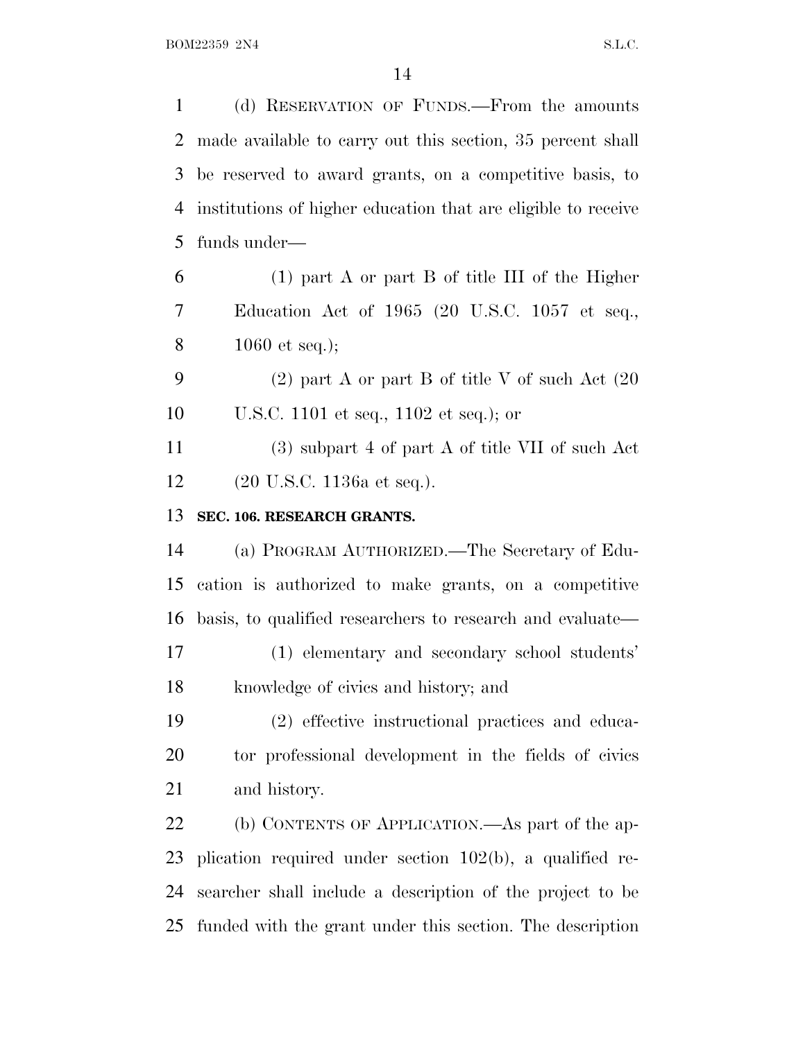| $\mathbf{1}$   | (d) RESERVATION OF FUNDS.—From the amounts                    |
|----------------|---------------------------------------------------------------|
| $\overline{2}$ | made available to carry out this section, 35 percent shall    |
| 3              | be reserved to award grants, on a competitive basis, to       |
| 4              | institutions of higher education that are eligible to receive |
| 5              | funds under-                                                  |
| 6              | $(1)$ part A or part B of title III of the Higher             |
| 7              | Education Act of 1965 (20 U.S.C. 1057 et seq.,                |
| 8              | 1060 et seq.);                                                |
| 9              | $(2)$ part A or part B of title V of such Act $(20)$          |
| 10             | U.S.C. 1101 et seq., 1102 et seq.); or                        |
| 11             | $(3)$ subpart 4 of part A of title VII of such Act            |
| 12             | $(20 \text{ U.S.C. } 1136a \text{ et seq.}).$                 |
| 13             | SEC. 106. RESEARCH GRANTS.                                    |
| 14             | (a) PROGRAM AUTHORIZED.—The Secretary of Edu-                 |
| 15             | cation is authorized to make grants, on a competitive         |
| 16             | basis, to qualified researchers to research and evaluate—     |
| 17             | (1) elementary and secondary school students'                 |
| 18             | knowledge of civics and history; and                          |
| 19             | (2) effective instructional practices and educa-              |
| 20             | tor professional development in the fields of civics          |
| 21             | and history.                                                  |
| 22             | (b) CONTENTS OF APPLICATION.—As part of the ap-               |
| 23             | plication required under section $102(b)$ , a qualified re-   |
| 24             | searcher shall include a description of the project to be     |
| 25             | funded with the grant under this section. The description     |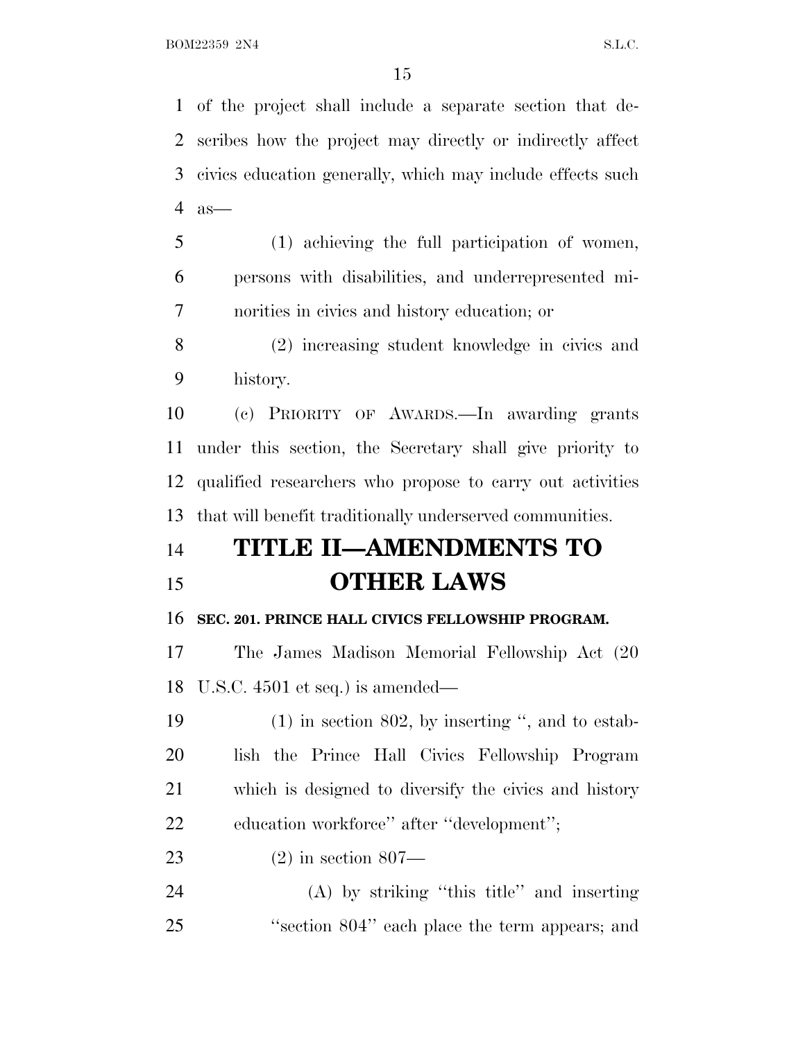of the project shall include a separate section that de- scribes how the project may directly or indirectly affect civics education generally, which may include effects such as—

 (1) achieving the full participation of women, persons with disabilities, and underrepresented mi-norities in civics and history education; or

 (2) increasing student knowledge in civics and history.

 (c) PRIORITY OF AWARDS.—In awarding grants under this section, the Secretary shall give priority to qualified researchers who propose to carry out activities that will benefit traditionally underserved communities.

## **TITLE II—AMENDMENTS TO OTHER LAWS**

#### **SEC. 201. PRINCE HALL CIVICS FELLOWSHIP PROGRAM.**

 The James Madison Memorial Fellowship Act (20 U.S.C. 4501 et seq.) is amended—

 (1) in section 802, by inserting '', and to estab- lish the Prince Hall Civics Fellowship Program which is designed to diversify the civics and history 22 education workforce" after "development";

(2) in section 807—

 (A) by striking ''this title'' and inserting ''section 804'' each place the term appears; and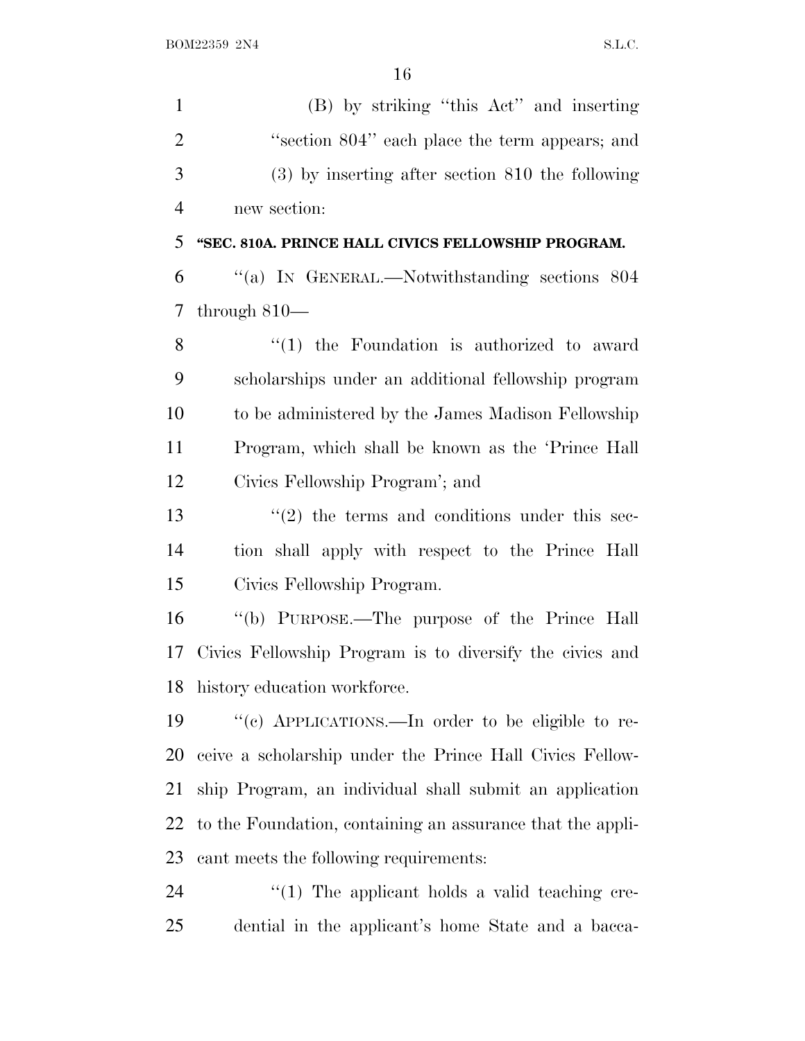| $\mathbf{1}$   | (B) by striking "this Act" and inserting                      |
|----------------|---------------------------------------------------------------|
| $\overline{2}$ | "section 804" each place the term appears; and                |
| 3              | $(3)$ by inserting after section 810 the following            |
| $\overline{4}$ | new section:                                                  |
| 5              | "SEC. 810A. PRINCE HALL CIVICS FELLOWSHIP PROGRAM.            |
| 6              | "(a) IN GENERAL.—Notwithstanding sections 804                 |
| 7              | through $810-$                                                |
| 8              | $\lq(1)$ the Foundation is authorized to award                |
| 9              | scholarships under an additional fellowship program           |
| 10             | to be administered by the James Madison Fellowship            |
| 11             | Program, which shall be known as the 'Prince Hall             |
| 12             | Civics Fellowship Program'; and                               |
| 13             | $\cdot\cdot\cdot(2)$ the terms and conditions under this sec- |
| 14             | tion shall apply with respect to the Prince Hall              |
| 15             | Civics Fellowship Program.                                    |
| 16             | "(b) PURPOSE.—The purpose of the Prince Hall                  |
| 17             | Civics Fellowship Program is to diversify the civics and      |
|                | 18 history education workforce.                               |
| 19             | "(c) APPLICATIONS.—In order to be eligible to re-             |
| 20             | ceive a scholarship under the Prince Hall Civics Fellow-      |
| 21             | ship Program, an individual shall submit an application       |
| 22             | to the Foundation, containing an assurance that the appli-    |
| 23             | cant meets the following requirements:                        |
| 24             | $\lq(1)$ The applicant holds a valid teaching cre-            |
| 25             | dential in the applicant's home State and a bacca-            |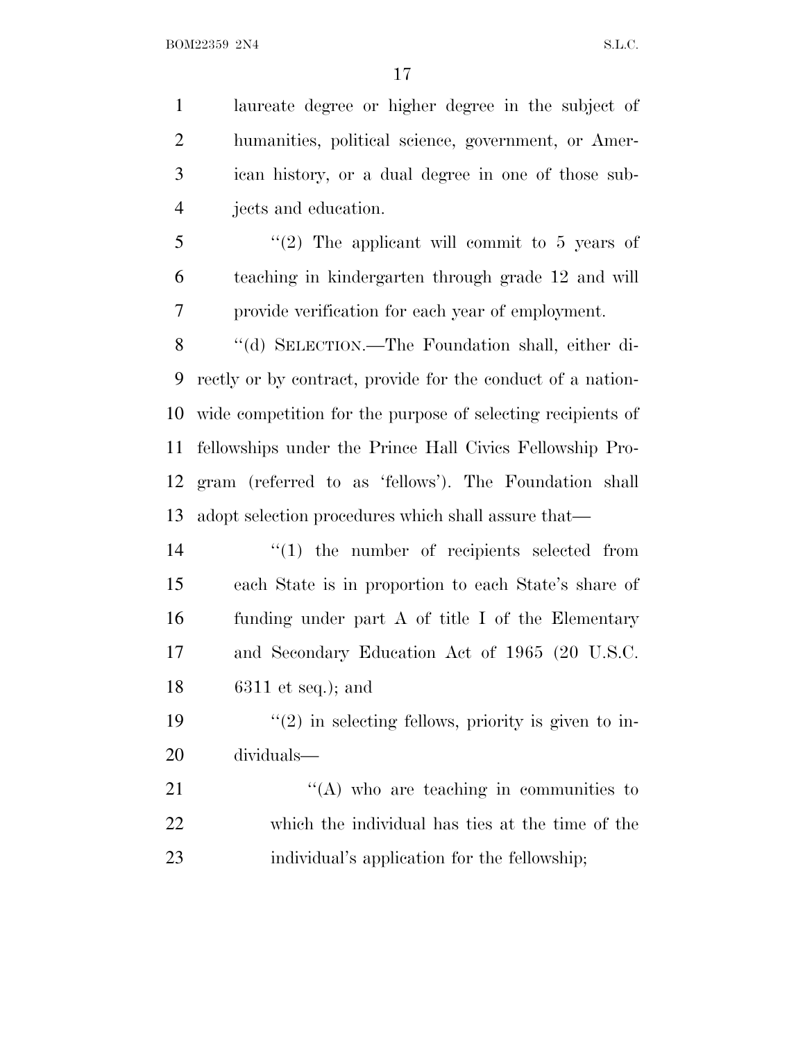laureate degree or higher degree in the subject of humanities, political science, government, or Amer- ican history, or a dual degree in one of those sub-jects and education.

 ''(2) The applicant will commit to 5 years of teaching in kindergarten through grade 12 and will provide verification for each year of employment.

 ''(d) SELECTION.—The Foundation shall, either di- rectly or by contract, provide for the conduct of a nation- wide competition for the purpose of selecting recipients of fellowships under the Prince Hall Civics Fellowship Pro- gram (referred to as 'fellows'). The Foundation shall adopt selection procedures which shall assure that—

 $\frac{1}{2}$  (1) the number of recipients selected from each State is in proportion to each State's share of funding under part A of title I of the Elementary and Secondary Education Act of 1965 (20 U.S.C. 6311 et seq.); and

19  $\frac{1}{2}$  in selecting fellows, priority is given to in-dividuals—

21  $\langle (A) \rangle$  who are teaching in communities to which the individual has ties at the time of the individual's application for the fellowship;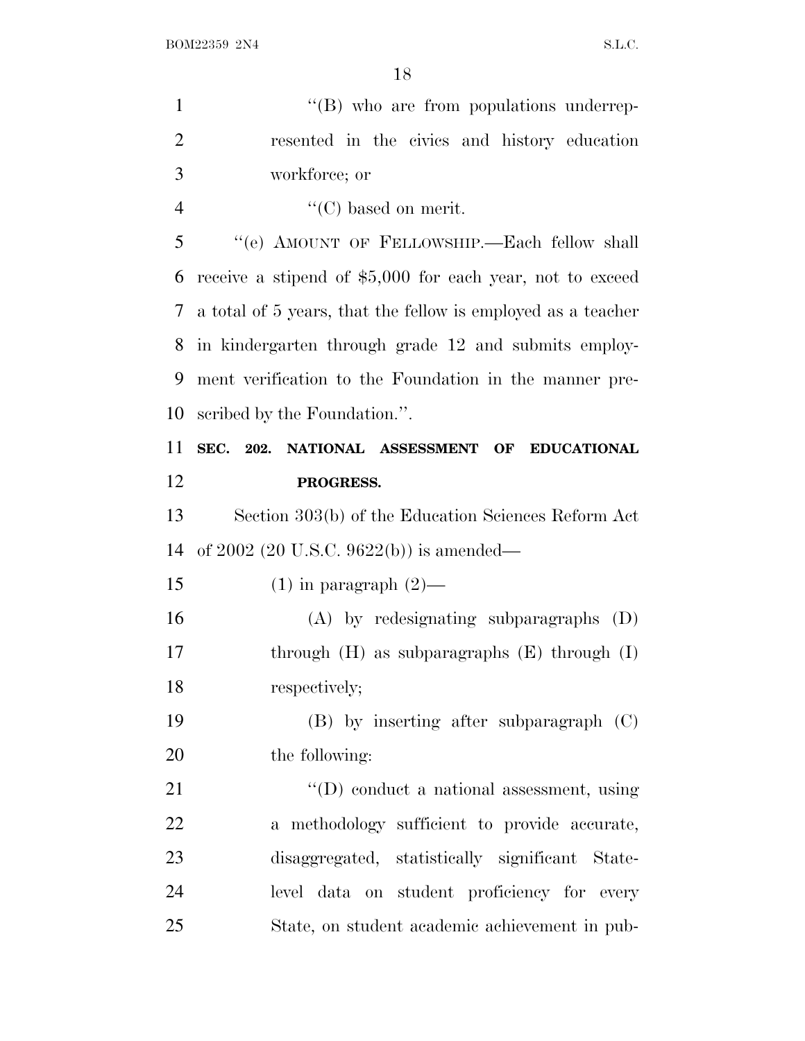| $\mathbf{1}$   | "(B) who are from populations underrep-                      |
|----------------|--------------------------------------------------------------|
| $\overline{2}$ | resented in the civics and history education                 |
| 3              | workforce; or                                                |
| $\overline{4}$ | $\lq\lq$ (C) based on merit.                                 |
| 5              | "(e) AMOUNT OF FELLOWSHIP. - Each fellow shall               |
| 6              | receive a stipend of \$5,000 for each year, not to exceed    |
| 7              | a total of 5 years, that the fellow is employed as a teacher |
| 8              | in kindergarten through grade 12 and submits employ-         |
| 9              | ment verification to the Foundation in the manner pre-       |
| 10             | scribed by the Foundation.".                                 |
| 11             | 202. NATIONAL ASSESSMENT OF<br>SEC.<br><b>EDUCATIONAL</b>    |
| 12             | PROGRESS.                                                    |
| 13             | Section 303(b) of the Education Sciences Reform Act          |
| 14             | of 2002 (20 U.S.C. 9622(b)) is amended—                      |
| 15             | $(1)$ in paragraph $(2)$ —                                   |
| 16             | $(A)$ by redesignating subparagraphs $(D)$                   |
| 17             | through $(H)$ as subparagraphs $(E)$ through $(I)$           |
| 18             | respectively;                                                |
| 19             | $(B)$ by inserting after subparagraph $(C)$                  |
| 20             | the following:                                               |
| 21             | $\lq\lq$ conduct a national assessment, using                |
| 22             | a methodology sufficient to provide accurate,                |
| 23             | disaggregated, statistically significant State-              |
| 24             | level data on student proficiency for every                  |
| 25             | State, on student academic achievement in pub-               |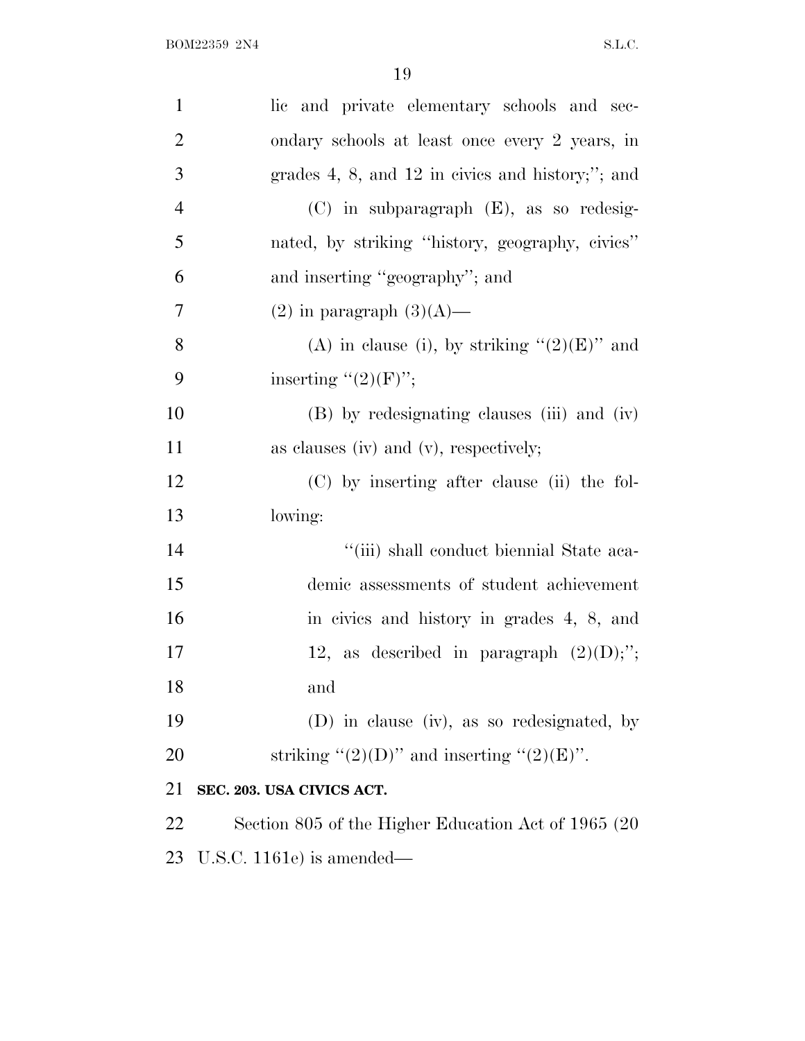| $\mathbf{1}$   | lic and private elementary schools and sec-          |
|----------------|------------------------------------------------------|
| $\overline{2}$ | ondary schools at least once every 2 years, in       |
| 3              | grades $4, 8,$ and $12$ in civics and history;"; and |
| $\overline{4}$ | $(C)$ in subparagraph $(E)$ , as so redesig-         |
| 5              | nated, by striking "history, geography, civics"      |
| 6              | and inserting "geography"; and                       |
| $\overline{7}$ | $(2)$ in paragraph $(3)(A)$ —                        |
| 8              | (A) in clause (i), by striking " $(2)(E)$ " and      |
| 9              | inserting $"(2)(F)"$ ;                               |
| 10             | (B) by redesignating clauses (iii) and (iv)          |
| 11             | as clauses (iv) and (v), respectively;               |
| 12             | (C) by inserting after clause (ii) the fol-          |
| 13             | lowing:                                              |
| 14             | "(iii) shall conduct biennial State aca-             |
| 15             | demic assessments of student achievement             |
| 16             | in civics and history in grades 4, 8, and            |
| 17             | 12, as described in paragraph $(2)(D)$ ;";           |
| 18             | and                                                  |
| 19             | (D) in clause (iv), as so redesignated, by           |
| 20             | striking " $(2)(D)$ " and inserting " $(2)(E)$ ".    |
| 21             | SEC. 203. USA CIVICS ACT.                            |
| 22             | Section 805 of the Higher Education Act of 1965 (20) |
| 23             | U.S.C. 1161e) is amended—                            |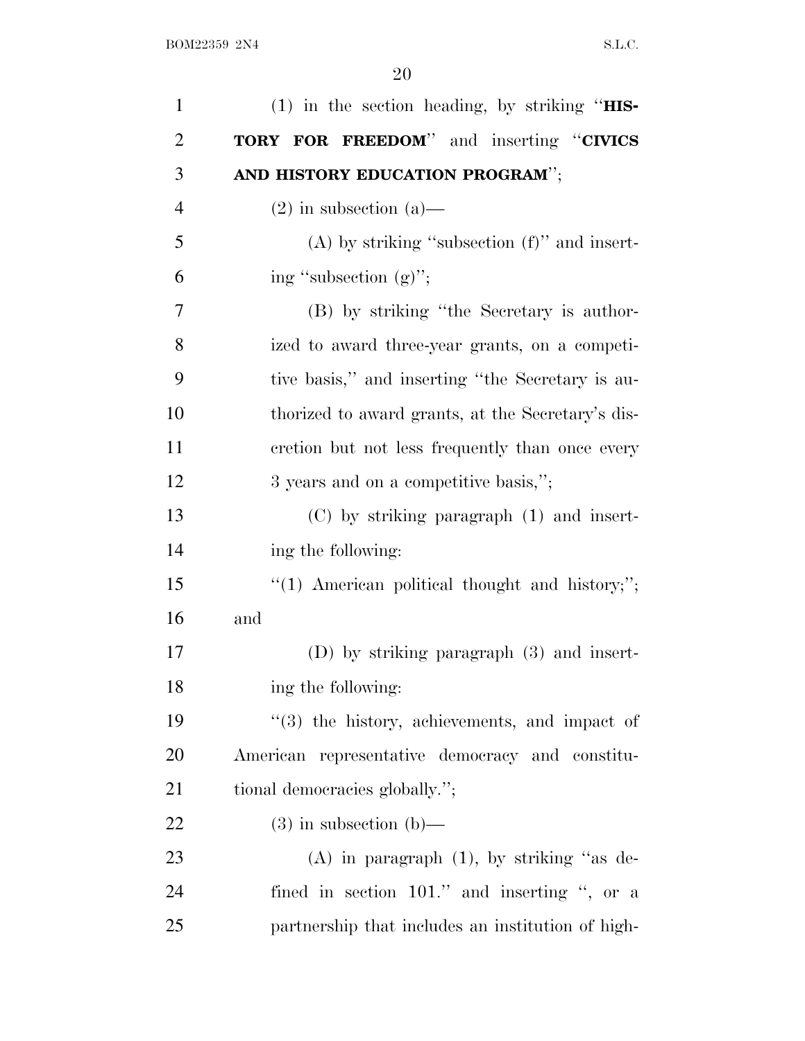| $\mathbf{1}$   | $(1)$ in the section heading, by striking "HIS-   |
|----------------|---------------------------------------------------|
| $\overline{2}$ | TORY FOR FREEDOM" and inserting "CIVICS           |
| 3              | AND HISTORY EDUCATION PROGRAM";                   |
| $\overline{4}$ | $(2)$ in subsection $(a)$ —                       |
| 5              | $(A)$ by striking "subsection $(f)$ " and insert- |
| 6              | ing "subsection $(g)$ ";                          |
| 7              | (B) by striking "the Secretary is author-         |
| 8              | ized to award three-year grants, on a competi-    |
| 9              | tive basis," and inserting "the Secretary is au-  |
| 10             | thorized to award grants, at the Secretary's dis- |
| 11             | cretion but not less frequently than once every   |
| 12             | 3 years and on a competitive basis,";             |
| 13             | $(C)$ by striking paragraph $(1)$ and insert-     |
| 14             | ing the following:                                |
| 15             | $"(1)$ American political thought and history;";  |
| 16             | and                                               |
| 17             | $(D)$ by striking paragraph $(3)$ and insert-     |
| 18             | ing the following:                                |
| 19             | "(3) the history, achievements, and impact of     |
| 20             | American representative democracy and constitu-   |
| 21             | tional democracies globally.";                    |
| 22             | $(3)$ in subsection $(b)$ —                       |
| 23             | $(A)$ in paragraph $(1)$ , by striking "as de-    |
| 24             | fined in section 101." and inserting ", or a      |
| 25             | partnership that includes an institution of high- |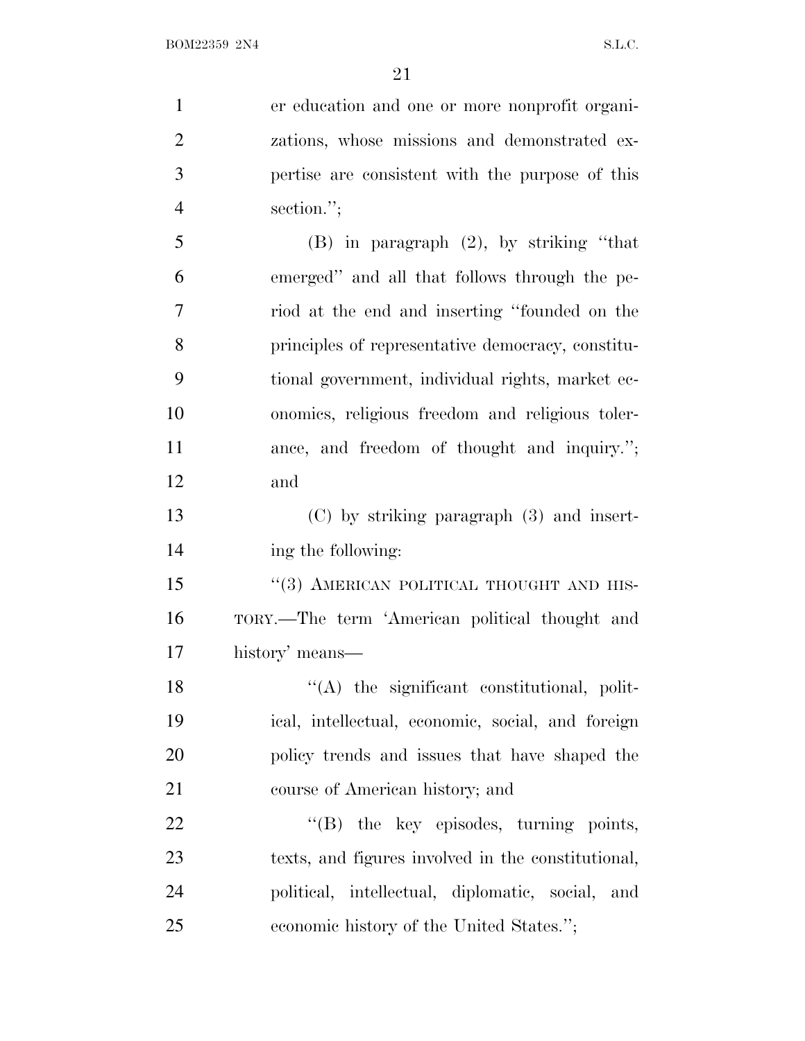er education and one or more nonprofit organi- zations, whose missions and demonstrated ex- pertise are consistent with the purpose of this section.''; (B) in paragraph (2), by striking ''that emerged'' and all that follows through the pe- riod at the end and inserting ''founded on the principles of representative democracy, constitu- tional government, individual rights, market ec- onomics, religious freedom and religious toler-11 ance, and freedom of thought and inquiry."; and (C) by striking paragraph (3) and insert- ing the following: 15 "(3) AMERICAN POLITICAL THOUGHT AND HIS- TORY.—The term 'American political thought and history' means—  $\langle (A)$  the significant constitutional, polit- ical, intellectual, economic, social, and foreign policy trends and issues that have shaped the course of American history; and  $\text{``(B)}$  the key episodes, turning points, texts, and figures involved in the constitutional, political, intellectual, diplomatic, social, and economic history of the United States.'';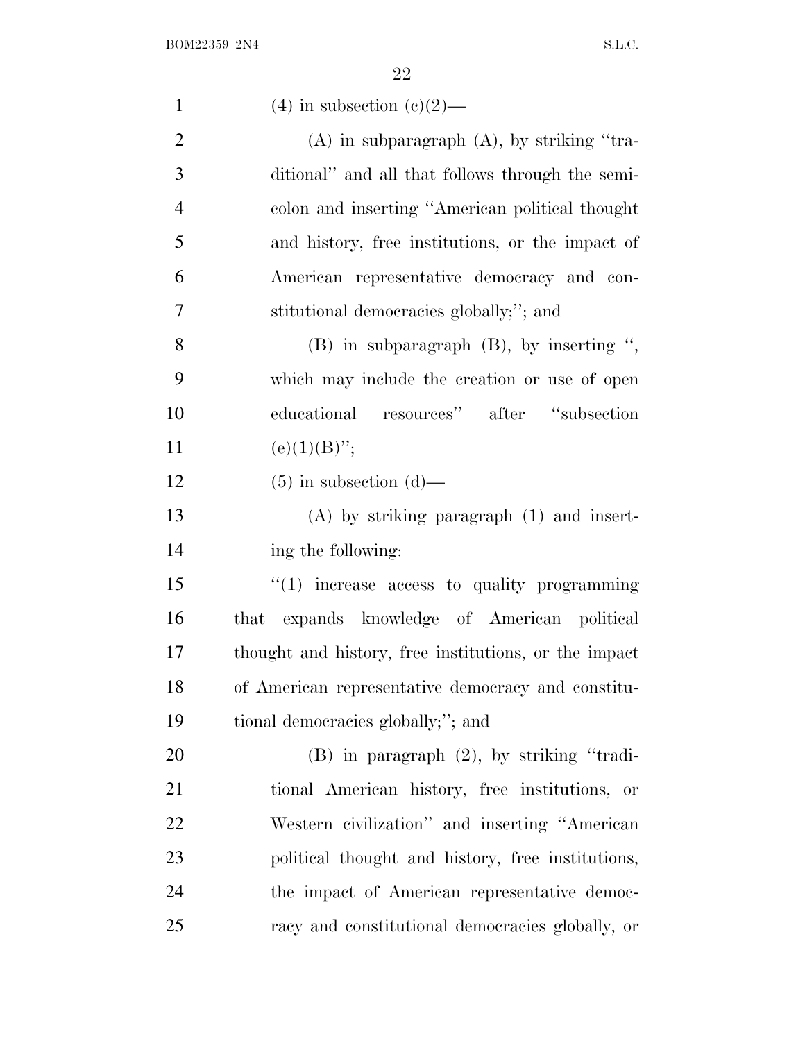| $\mathbf{1}$   | $(4)$ in subsection $(e)(2)$ —                        |
|----------------|-------------------------------------------------------|
| $\overline{2}$ | $(A)$ in subparagraph $(A)$ , by striking "tra-       |
| 3              | ditional" and all that follows through the semi-      |
| $\overline{4}$ | colon and inserting "American political thought       |
| 5              | and history, free institutions, or the impact of      |
| 6              | American representative democracy and con-            |
| 7              | stitutional democracies globally;"; and               |
| 8              | $(B)$ in subparagraph $(B)$ , by inserting ",         |
| 9              | which may include the creation or use of open         |
| 10             | educational resources" after "subsection              |
| 11             | $(e)(1)(B)$ ";                                        |
| 12             | $(5)$ in subsection $(d)$ —                           |
| 13             | $(A)$ by striking paragraph $(1)$ and insert-         |
| 14             | ing the following:                                    |
| 15             | $"(1)$ increase access to quality programming         |
| 16             | that expands knowledge of American political          |
| 17             | thought and history, free institutions, or the impact |
| 18             | of American representative democracy and constitu-    |
| 19             | tional democracies globally;"; and                    |
| 20             | $(B)$ in paragraph $(2)$ , by striking "tradi-        |
| 21             | tional American history, free institutions, or        |
| 22             | Western civilization" and inserting "American         |
| 23             | political thought and history, free institutions,     |
| 24             | the impact of American representative democ-          |
| 25             | racy and constitutional democracies globally, or      |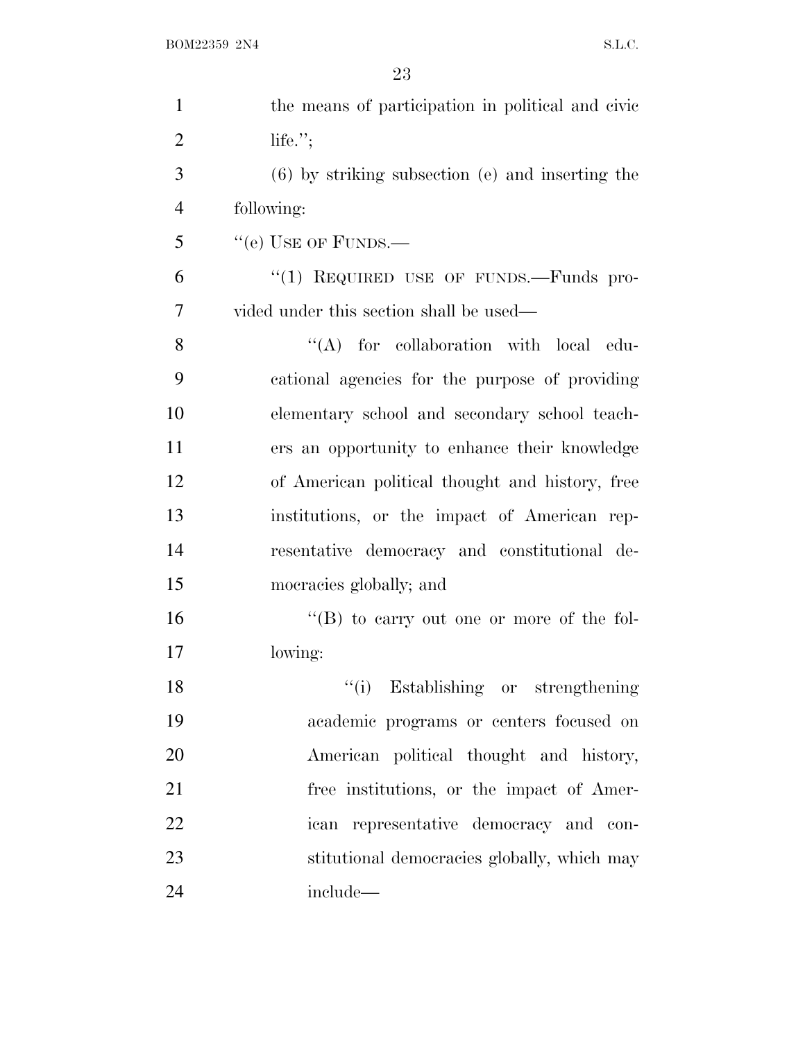| $\mathbf{1}$   | the means of participation in political and civic    |
|----------------|------------------------------------------------------|
| $\overline{2}$ | life. $";$                                           |
| 3              | $(6)$ by striking subsection $(e)$ and inserting the |
| $\overline{4}$ | following:                                           |
| 5              | "(e) USE OF FUNDS.—                                  |
| 6              | "(1) REQUIRED USE OF FUNDS.—Funds pro-               |
| 7              | vided under this section shall be used—              |
| 8              | $\lq\lq$ for collaboration with local edu-           |
| 9              | cational agencies for the purpose of providing       |
| 10             | elementary school and secondary school teach-        |
| 11             | ers an opportunity to enhance their knowledge        |
| 12             | of American political thought and history, free      |
| 13             | institutions, or the impact of American rep-         |
| 14             | resentative democracy and constitutional de-         |
| 15             | mocracies globally; and                              |
| 16             | "(B) to carry out one or more of the fol-            |
| 17             | lowing:                                              |
| 18             | "(i) Establishing or strengthening                   |
| 19             | academic programs or centers focused on              |
| 20             | American political thought and history,              |
| 21             | free institutions, or the impact of Amer-            |
| 22             | ican representative democracy and con-               |
| 23             | stitutional democracies globally, which may          |
| 24             | include-                                             |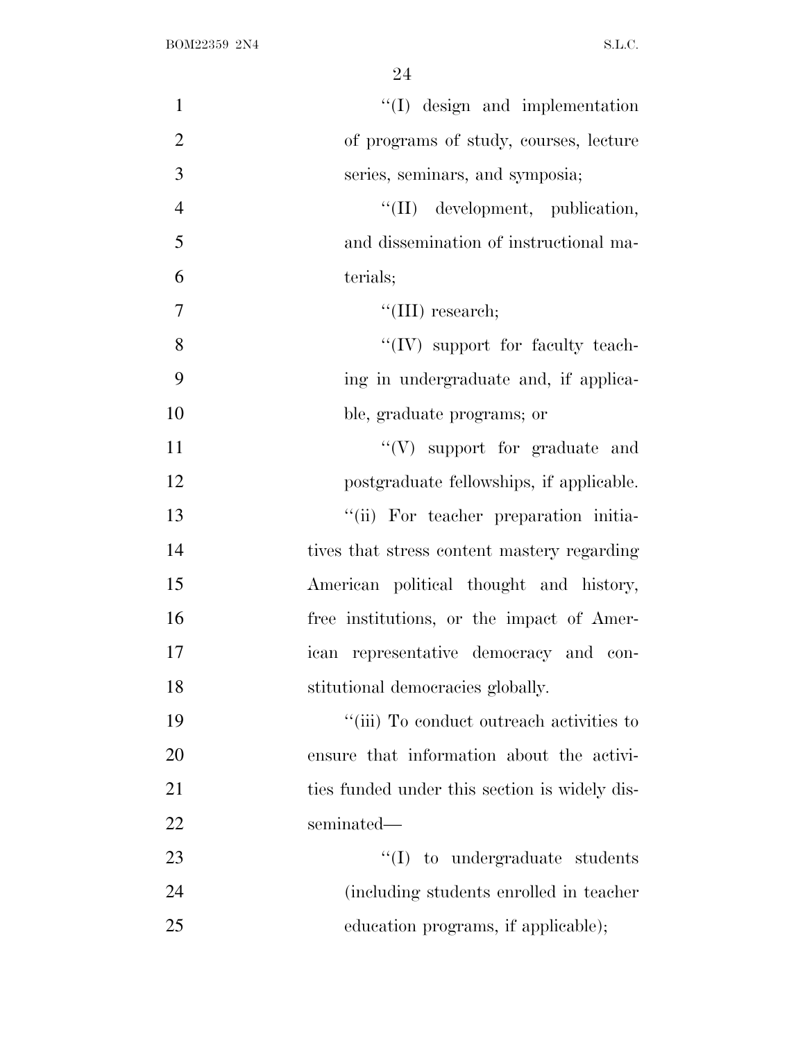| $\mathbf{1}$   | $\lq\lq$ (I) design and implementation        |
|----------------|-----------------------------------------------|
| $\overline{2}$ | of programs of study, courses, lecture        |
| 3              | series, seminars, and symposia;               |
| $\overline{4}$ | "(II) development, publication,               |
| 5              | and dissemination of instructional ma-        |
| 6              | terials;                                      |
| $\overline{7}$ | "(III) research;                              |
| 8              | "(IV) support for faculty teach-              |
| 9              | ing in undergraduate and, if applica-         |
| 10             | ble, graduate programs; or                    |
| 11             | $\lq\lq(V)$ support for graduate and          |
| 12             | postgraduate fellowships, if applicable.      |
| 13             | "(ii) For teacher preparation initia-         |
| 14             | tives that stress content mastery regarding   |
| 15             | American political thought and history,       |
| 16             | free institutions, or the impact of Amer-     |
| 17             | ican representative democracy and con-        |
| 18             | stitutional democracies globally.             |
| 19             | "(iii) To conduct outreach activities to      |
| 20             | ensure that information about the activi-     |
| 21             | ties funded under this section is widely dis- |
| 22             | seminated—                                    |
| 23             | $\lq\lq$ to undergraduate students            |
| 24             | (including students enrolled in teacher)      |
| 25             | education programs, if applicable);           |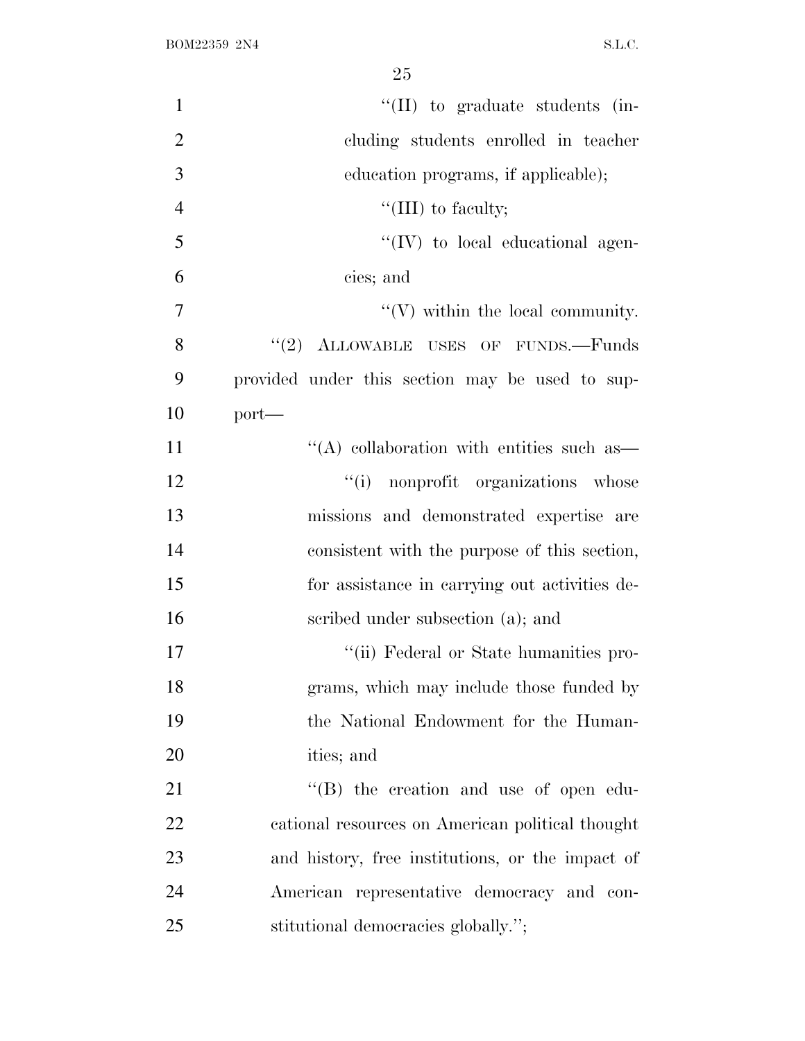| $\mathbf{1}$   | $\lq\lq$ (II) to graduate students (in-           |
|----------------|---------------------------------------------------|
| $\overline{2}$ | cluding students enrolled in teacher              |
| 3              | education programs, if applicable);               |
| $\overline{4}$ | "(III) to faculty;                                |
| 5              | "(IV) to local educational agen-                  |
| 6              | cies; and                                         |
| 7              | $\lq\lq$ within the local community.              |
| 8              | "(2) ALLOWABLE USES OF FUNDS.-Funds               |
| 9              | provided under this section may be used to sup-   |
| 10             | $port-$                                           |
| 11             | $\cdot$ (A) collaboration with entities such as — |
| 12             | "(i) nonprofit organizations whose                |
| 13             | missions and demonstrated expertise are           |
| 14             | consistent with the purpose of this section,      |
| 15             | for assistance in carrying out activities de-     |
| 16             | scribed under subsection (a); and                 |
| 17             | "(ii) Federal or State humanities pro-            |
| 18             | grams, which may include those funded by          |
| 19             | the National Endowment for the Human-             |
| 20             | ities; and                                        |
| 21             | $\lq\lq$ the creation and use of open edu-        |
| 22             | cational resources on American political thought  |
| 23             | and history, free institutions, or the impact of  |
| 24             | American representative democracy and con-        |
| 25             | stitutional democracies globally.";               |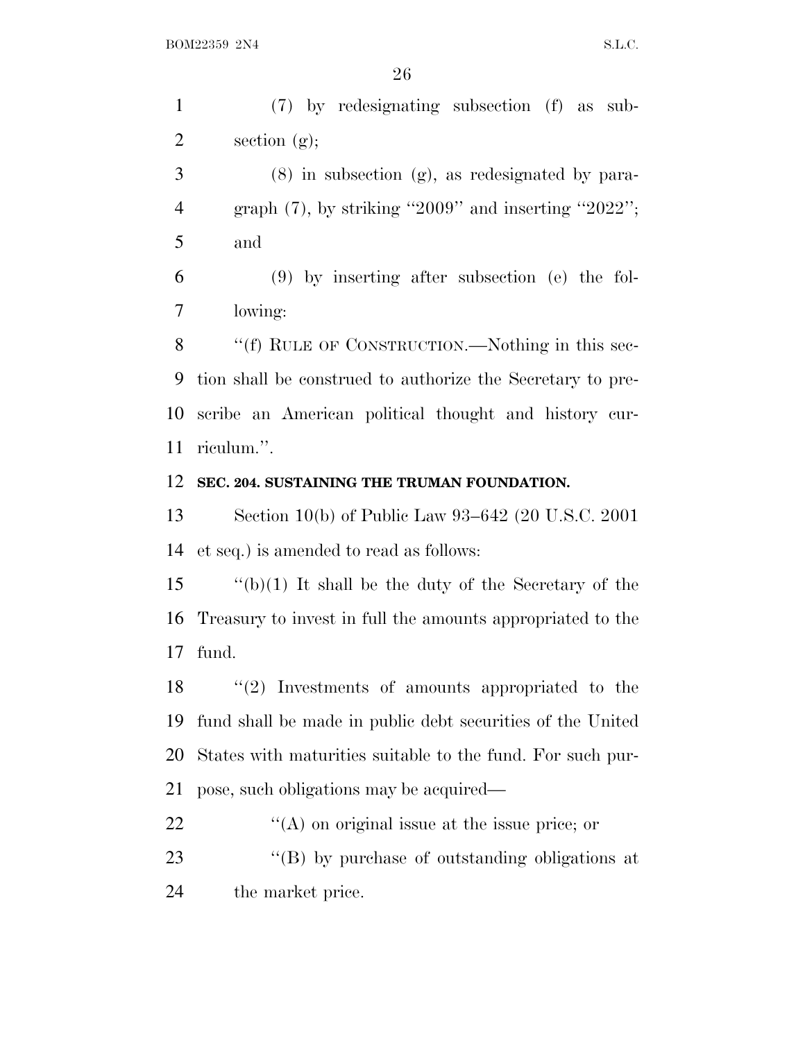(7) by redesignating subsection (f) as sub-section (g);

 (8) in subsection (g), as redesignated by para-4 graph  $(7)$ , by striking "2009" and inserting "2022"; and

 (9) by inserting after subsection (e) the fol-lowing:

8 "(f) RULE OF CONSTRUCTION.—Nothing in this sec- tion shall be construed to authorize the Secretary to pre- scribe an American political thought and history cur-riculum.''.

#### **SEC. 204. SUSTAINING THE TRUMAN FOUNDATION.**

 Section 10(b) of Public Law 93–642 (20 U.S.C. 2001 et seq.) is amended to read as follows:

 ''(b)(1) It shall be the duty of the Secretary of the Treasury to invest in full the amounts appropriated to the fund.

 ''(2) Investments of amounts appropriated to the fund shall be made in public debt securities of the United States with maturities suitable to the fund. For such pur-pose, such obligations may be acquired—

22  $\langle (A)$  on original issue at the issue price; or

23  $\langle G \rangle$  by purchase of outstanding obligations at the market price.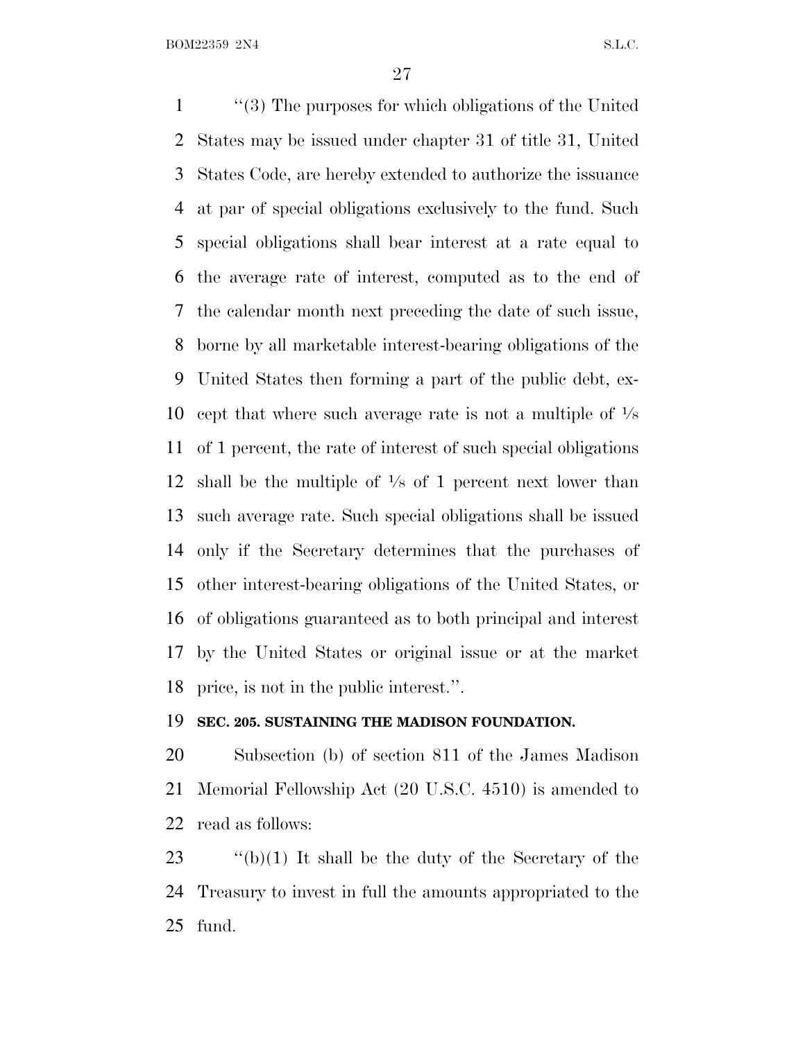''(3) The purposes for which obligations of the United States may be issued under chapter 31 of title 31, United States Code, are hereby extended to authorize the issuance at par of special obligations exclusively to the fund. Such special obligations shall bear interest at a rate equal to the average rate of interest, computed as to the end of the calendar month next preceding the date of such issue, borne by all marketable interest-bearing obligations of the United States then forming a part of the public debt, ex-10 cept that where such average rate is not a multiple of  $\frac{1}{8}$  of 1 percent, the rate of interest of such special obligations 12 shall be the multiple of  $\frac{1}{8}$  of 1 percent next lower than such average rate. Such special obligations shall be issued only if the Secretary determines that the purchases of other interest-bearing obligations of the United States, or of obligations guaranteed as to both principal and interest by the United States or original issue or at the market price, is not in the public interest.''.

#### **SEC. 205. SUSTAINING THE MADISON FOUNDATION.**

 Subsection (b) of section 811 of the James Madison Memorial Fellowship Act (20 U.S.C. 4510) is amended to read as follows:

23  $\qquad$  "(b)(1) It shall be the duty of the Secretary of the Treasury to invest in full the amounts appropriated to the fund.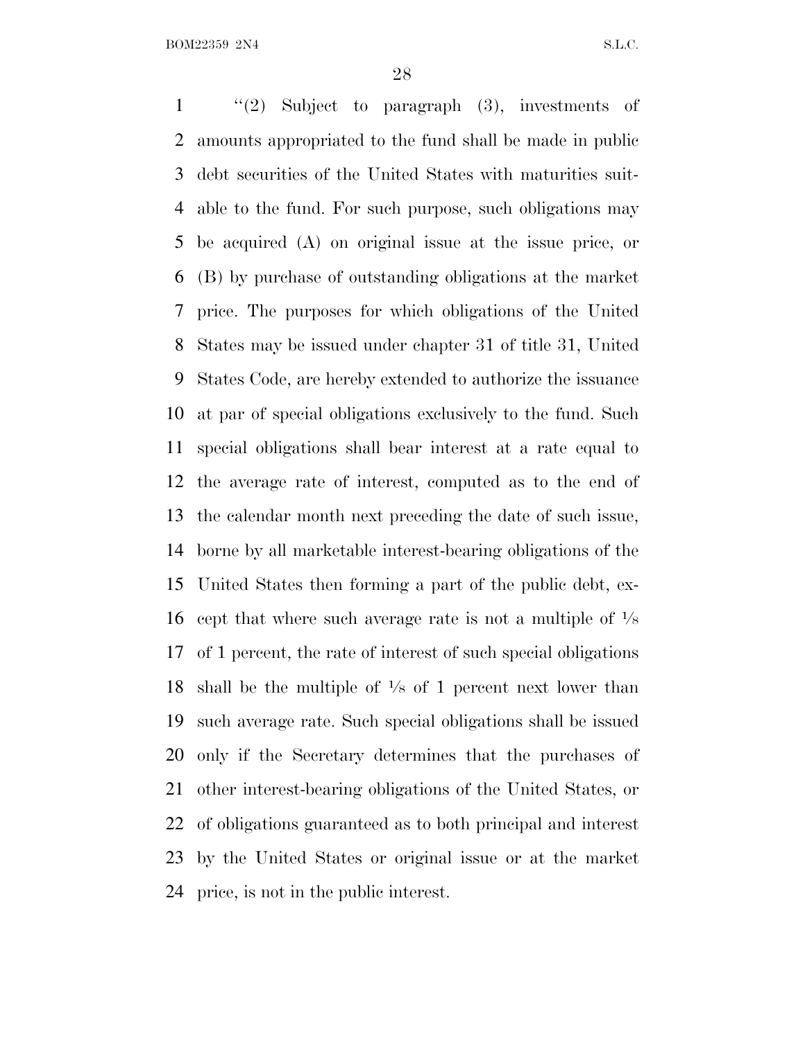''(2) Subject to paragraph (3), investments of amounts appropriated to the fund shall be made in public debt securities of the United States with maturities suit- able to the fund. For such purpose, such obligations may be acquired (A) on original issue at the issue price, or (B) by purchase of outstanding obligations at the market price. The purposes for which obligations of the United States may be issued under chapter 31 of title 31, United States Code, are hereby extended to authorize the issuance at par of special obligations exclusively to the fund. Such special obligations shall bear interest at a rate equal to the average rate of interest, computed as to the end of the calendar month next preceding the date of such issue, borne by all marketable interest-bearing obligations of the United States then forming a part of the public debt, ex-16 cept that where such average rate is not a multiple of  $\frac{1}{8}$  of 1 percent, the rate of interest of such special obligations 18 shall be the multiple of  $\frac{1}{8}$  of 1 percent next lower than such average rate. Such special obligations shall be issued only if the Secretary determines that the purchases of other interest-bearing obligations of the United States, or of obligations guaranteed as to both principal and interest by the United States or original issue or at the market price, is not in the public interest.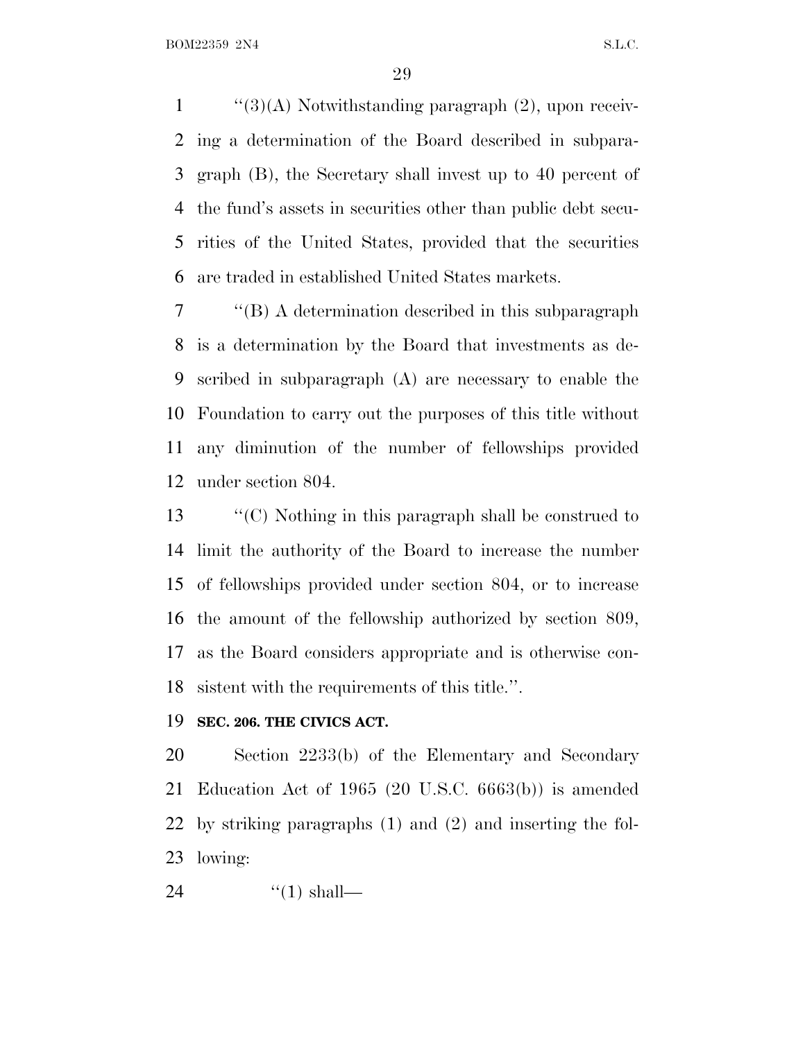$\frac{1}{3}(3)$  Notwithstanding paragraph (2), upon receiv- ing a determination of the Board described in subpara- graph (B), the Secretary shall invest up to 40 percent of the fund's assets in securities other than public debt secu- rities of the United States, provided that the securities are traded in established United States markets.

 ''(B) A determination described in this subparagraph is a determination by the Board that investments as de- scribed in subparagraph (A) are necessary to enable the Foundation to carry out the purposes of this title without any diminution of the number of fellowships provided under section 804.

 ''(C) Nothing in this paragraph shall be construed to limit the authority of the Board to increase the number of fellowships provided under section 804, or to increase the amount of the fellowship authorized by section 809, as the Board considers appropriate and is otherwise con-sistent with the requirements of this title.''.

#### **SEC. 206. THE CIVICS ACT.**

 Section 2233(b) of the Elementary and Secondary Education Act of 1965 (20 U.S.C. 6663(b)) is amended by striking paragraphs (1) and (2) and inserting the fol-lowing:

24  $\frac{1}{2}$   $\frac{1}{2}$  shall—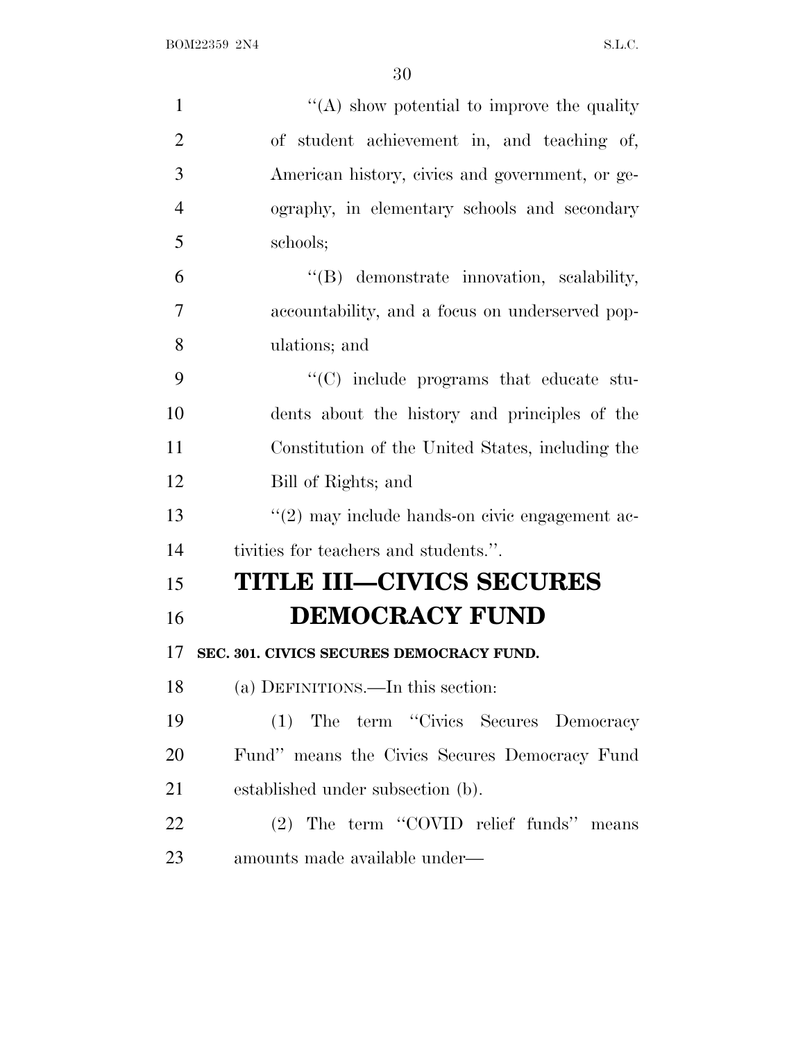| $\mathbf{1}$   | "(A) show potential to improve the quality       |
|----------------|--------------------------------------------------|
| $\overline{2}$ | of student achievement in, and teaching of,      |
| 3              | American history, civics and government, or ge-  |
| $\overline{4}$ | ography, in elementary schools and secondary     |
| 5              | schools;                                         |
| 6              | "(B) demonstrate innovation, scalability,        |
| 7              | accountability, and a focus on underserved pop-  |
| 8              | ulations; and                                    |
| 9              | "(C) include programs that educate stu-          |
| 10             | dents about the history and principles of the    |
| 11             | Constitution of the United States, including the |
| 12             | Bill of Rights; and                              |
| 13             | "(2) may include hands-on civic engagement ac-   |
| 14             | tivities for teachers and students.".            |
| 15             | <b>TITLE III–CIVICS SECURES</b>                  |
| 16             | <b>DEMOCRACY FUND</b>                            |
| 17             | SEC. 301. CIVICS SECURES DEMOCRACY FUND.         |
| 18             | (a) DEFINITIONS.—In this section:                |
| 19             | (1) The term "Civics Secures Democracy           |
| 20             | Fund" means the Civics Secures Democracy Fund    |
| 21             | established under subsection (b).                |
| 22             | (2) The term "COVID relief funds" means          |
| 23             | amounts made available under—                    |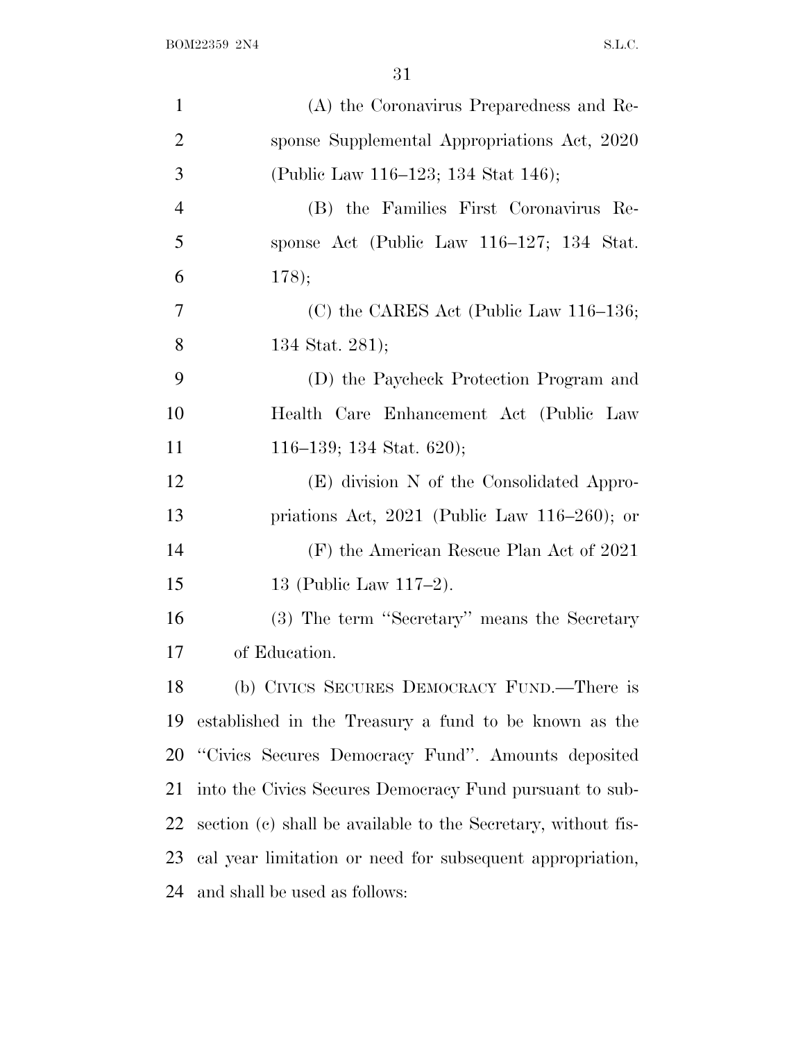| $\mathbf{1}$   | (A) the Coronavirus Preparedness and Re-                      |
|----------------|---------------------------------------------------------------|
| $\overline{2}$ | sponse Supplemental Appropriations Act, 2020                  |
| 3              | (Public Law 116–123; 134 Stat 146);                           |
| $\overline{4}$ | (B) the Families First Coronavirus Re-                        |
| 5              | sponse Act (Public Law 116–127; 134 Stat.                     |
| 6              | 178);                                                         |
| 7              | (C) the CARES Act (Public Law 116–136;                        |
| 8              | 134 Stat. 281);                                               |
| 9              | (D) the Paycheck Protection Program and                       |
| 10             | Health Care Enhancement Act (Public Law                       |
| 11             | 116–139; 134 Stat. 620);                                      |
| 12             | (E) division N of the Consolidated Appro-                     |
| 13             | priations Act, $2021$ (Public Law 116–260); or                |
| 14             | (F) the American Rescue Plan Act of 2021                      |
| 15             | 13 (Public Law $117-2$ ).                                     |
| 16             | (3) The term "Secretary" means the Secretary                  |
| 17             | of Education.                                                 |
| 18             | (b) CIVICS SECURES DEMOCRACY FUND.—There is                   |
| 19             | established in the Treasury a fund to be known as the         |
| 20             | "Civics Secures Democracy Fund". Amounts deposited            |
| 21             | into the Civics Secures Democracy Fund pursuant to sub-       |
| 22             | section (c) shall be available to the Secretary, without fis- |
| 23             | cal year limitation or need for subsequent appropriation,     |
| 24             | and shall be used as follows:                                 |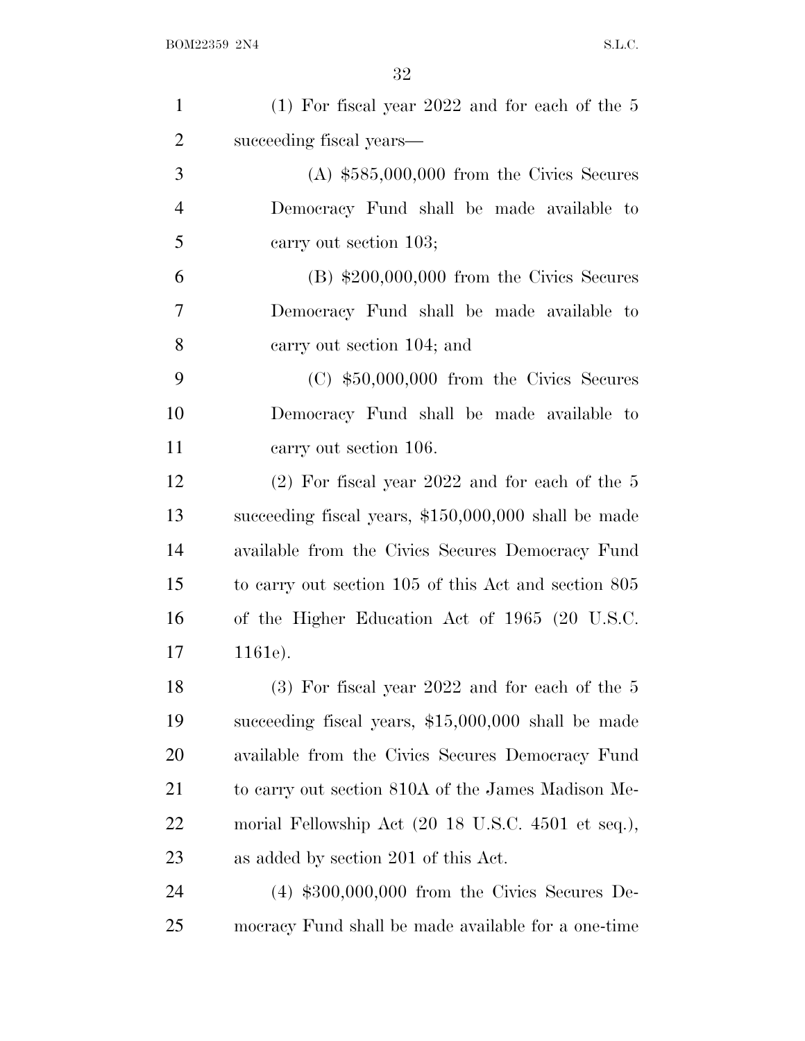| $\mathbf{1}$   | $(1)$ For fiscal year 2022 and for each of the 5                      |
|----------------|-----------------------------------------------------------------------|
| $\overline{2}$ | succeeding fiscal years—                                              |
| 3              | $(A)$ \$585,000,000 from the Civics Secures                           |
| $\overline{4}$ | Democracy Fund shall be made available to                             |
| 5              | carry out section 103;                                                |
| 6              | $(B)$ \$200,000,000 from the Civics Secures                           |
| 7              | Democracy Fund shall be made available to                             |
| 8              | carry out section 104; and                                            |
| 9              | $(C)$ \$50,000,000 from the Civics Secures                            |
| 10             | Democracy Fund shall be made available to                             |
| 11             | carry out section 106.                                                |
| 12             | $(2)$ For fiscal year 2022 and for each of the 5                      |
| 13             | succeeding fiscal years, $$150,000,000$ shall be made                 |
| 14             | available from the Civics Secures Democracy Fund                      |
| 15             | to carry out section 105 of this Act and section 805                  |
| 16             | of the Higher Education Act of 1965 (20 U.S.C.                        |
| 17             | 1161e).                                                               |
| 18             | $(3)$ For fiscal year 2022 and for each of the 5                      |
| 19             | succeeding fiscal years, \$15,000,000 shall be made                   |
| 20             | available from the Civics Secures Democracy Fund                      |
| 21             | to carry out section 810A of the James Madison Me-                    |
| 22             | morial Fellowship Act $(20 18 \text{ U.S.C. } 4501 \text{ et seq.}),$ |
| 23             | as added by section 201 of this Act.                                  |
| 24             | $(4)$ \$300,000,000 from the Civics Secures De-                       |
| 25             | mocracy Fund shall be made available for a one-time                   |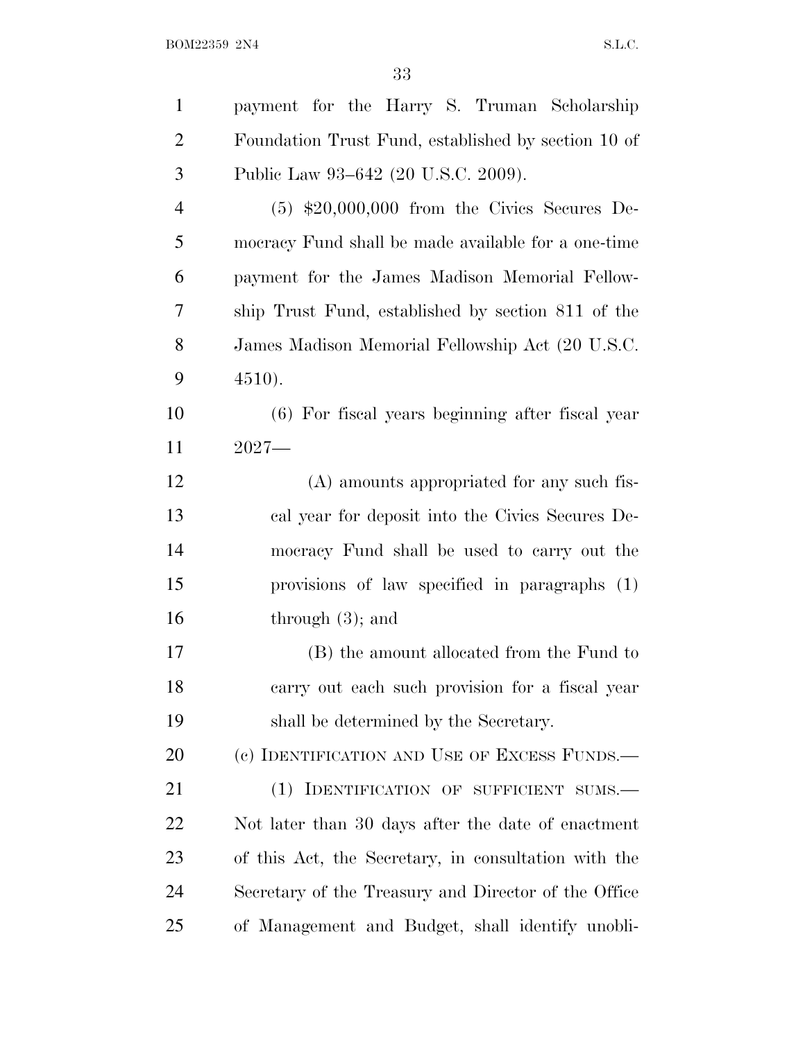| $\mathbf{1}$   | payment for the Harry S. Truman Scholarship          |
|----------------|------------------------------------------------------|
| $\overline{2}$ | Foundation Trust Fund, established by section 10 of  |
| 3              | Public Law 93–642 (20 U.S.C. 2009).                  |
| $\overline{4}$ | $(5)$ \$20,000,000 from the Civics Secures De-       |
| 5              | mocracy Fund shall be made available for a one-time  |
| 6              | payment for the James Madison Memorial Fellow-       |
| 7              | ship Trust Fund, established by section 811 of the   |
| 8              | James Madison Memorial Fellowship Act (20 U.S.C.     |
| 9              | 4510.                                                |
| 10             | $(6)$ For fiscal years beginning after fiscal year   |
| 11             | $2027-$                                              |
| 12             | (A) amounts appropriated for any such fis-           |
| 13             | cal year for deposit into the Civics Secures De-     |
| 14             | mocracy Fund shall be used to carry out the          |
| 15             | provisions of law specified in paragraphs (1)        |
| 16             | through $(3)$ ; and                                  |
| 17             | (B) the amount allocated from the Fund to            |
| 18             | carry out each such provision for a fiscal year      |
| 19             | shall be determined by the Secretary.                |
| 20             | (c) IDENTIFICATION AND USE OF EXCESS FUNDS.—         |
| 21             | (1) IDENTIFICATION OF SUFFICIENT SUMS.               |
| 22             | Not later than 30 days after the date of enactment   |
| 23             | of this Act, the Secretary, in consultation with the |
| 24             | Secretary of the Treasury and Director of the Office |
| 25             | of Management and Budget, shall identify unobli-     |